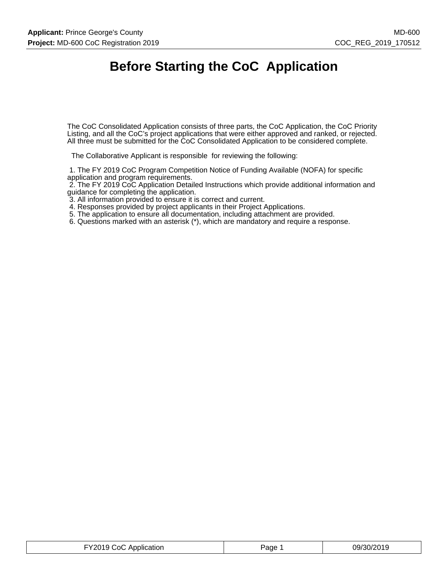# **Before Starting the CoC Application**

The CoC Consolidated Application consists of three parts, the CoC Application, the CoC Priority Listing, and all the CoC's project applications that were either approved and ranked, or rejected. All three must be submitted for the CoC Consolidated Application to be considered complete.

The Collaborative Applicant is responsible for reviewing the following:

 1. The FY 2019 CoC Program Competition Notice of Funding Available (NOFA) for specific application and program requirements.

 2. The FY 2019 CoC Application Detailed Instructions which provide additional information and guidance for completing the application.

3. All information provided to ensure it is correct and current.

4. Responses provided by project applicants in their Project Applications.

5. The application to ensure all documentation, including attachment are provided.

6. Questions marked with an asterisk (\*), which are mandatory and require a response.

| FY2019 CoC Application | Page ? | 09/30/2019 |
|------------------------|--------|------------|
|------------------------|--------|------------|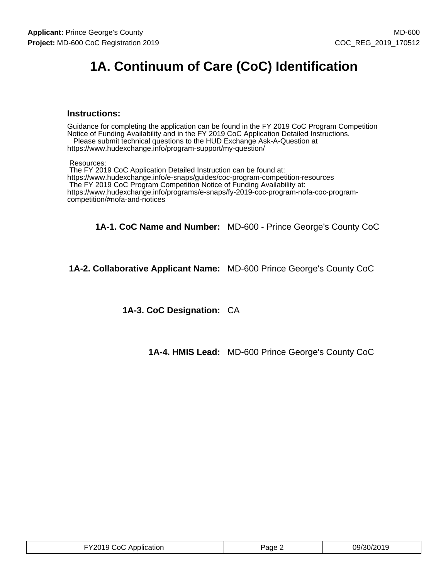# **1A. Continuum of Care (CoC) Identification**

#### **Instructions:**

Guidance for completing the application can be found in the FY 2019 CoC Program Competition Notice of Funding Availability and in the FY 2019 CoC Application Detailed Instructions. Please submit technical questions to the HUD Exchange Ask-A-Question at

https://www.hudexchange.info/program-support/my-question/

Resources:

 The FY 2019 CoC Application Detailed Instruction can be found at: https://www.hudexchange.info/e-snaps/guides/coc-program-competition-resources The FY 2019 CoC Program Competition Notice of Funding Availability at: https://www.hudexchange.info/programs/e-snaps/fy-2019-coc-program-nofa-coc-programcompetition/#nofa-and-notices

**1A-1. CoC Name and Number:** MD-600 - Prince George's County CoC

**1A-2. Collaborative Applicant Name:** MD-600 Prince George's County CoC

**1A-3. CoC Designation:** CA

**1A-4. HMIS Lead:** MD-600 Prince George's County CoC

| TY2019 CoC Application | $P$ age $\sim$ | 09/30/2019 |
|------------------------|----------------|------------|
|------------------------|----------------|------------|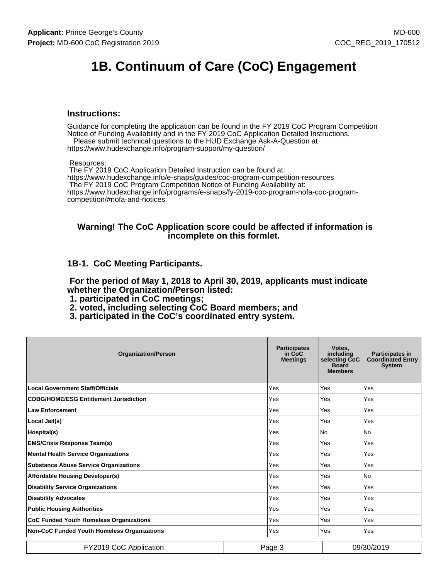# **1B. Continuum of Care (CoC) Engagement**

#### **Instructions:**

Guidance for completing the application can be found in the FY 2019 CoC Program Competition Notice of Funding Availability and in the FY 2019 CoC Application Detailed Instructions.

 Please submit technical questions to the HUD Exchange Ask-A-Question at https://www.hudexchange.info/program-support/my-question/

Resources:

 The FY 2019 CoC Application Detailed Instruction can be found at: https://www.hudexchange.info/e-snaps/guides/coc-program-competition-resources The FY 2019 CoC Program Competition Notice of Funding Availability at: https://www.hudexchange.info/programs/e-snaps/fy-2019-coc-program-nofa-coc-programcompetition/#nofa-and-notices

#### **Warning! The CoC Application score could be affected if information is incomplete on this formlet.**

#### **1B-1. CoC Meeting Participants.**

 **For the period of May 1, 2018 to April 30, 2019, applicants must indicate whether the Organization/Person listed:**

- **1. participated in CoC meetings;**
- **2. voted, including selecting CoC Board members; and**
- **3. participated in the CoC's coordinated entry system.**

| <b>Organization/Person</b>                         | <b>Participates</b><br>in CoC<br><b>Meetings</b> | Votes.<br>including<br>selecting CoC<br><b>Board</b><br><b>Members</b> | <b>Participates in</b><br><b>Coordinated Entry</b><br><b>System</b> |
|----------------------------------------------------|--------------------------------------------------|------------------------------------------------------------------------|---------------------------------------------------------------------|
| <b>Local Government Staff/Officials</b>            | Yes                                              | Yes                                                                    | Yes                                                                 |
| <b>CDBG/HOME/ESG Entitlement Jurisdiction</b>      | Yes                                              | Yes                                                                    | Yes                                                                 |
| <b>Law Enforcement</b>                             | Yes                                              | Yes                                                                    | Yes                                                                 |
| Local Jail(s)                                      | Yes                                              | Yes                                                                    | <b>Yes</b>                                                          |
| Hospital(s)                                        | Yes                                              | N <sub>0</sub>                                                         | <b>No</b>                                                           |
| <b>EMS/Crisis Response Team(s)</b>                 | Yes                                              | Yes                                                                    | Yes                                                                 |
| <b>Mental Health Service Organizations</b>         | Yes                                              | Yes                                                                    | Yes                                                                 |
| <b>Substance Abuse Service Organizations</b>       | Yes                                              | Yes                                                                    | Yes                                                                 |
| <b>Affordable Housing Developer(s)</b>             | Yes                                              | Yes                                                                    | <b>No</b>                                                           |
| <b>Disability Service Organizations</b>            | Yes                                              | Yes                                                                    | Yes                                                                 |
| <b>Disability Advocates</b>                        | Yes                                              | Yes                                                                    | Yes                                                                 |
| <b>Public Housing Authorities</b>                  | Yes                                              | Yes                                                                    | Yes                                                                 |
| <b>CoC Funded Youth Homeless Organizations</b>     | Yes                                              | Yes                                                                    | Yes                                                                 |
| <b>Non-CoC Funded Youth Homeless Organizations</b> | Yes                                              | Yes                                                                    | Yes                                                                 |
| FY2019 CoC Application                             | Page 3                                           |                                                                        | 09/30/2019                                                          |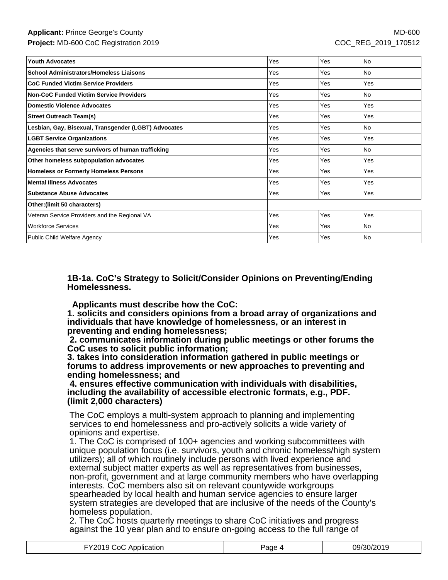| <b>Youth Advocates</b>                               | Yes | Yes | No        |
|------------------------------------------------------|-----|-----|-----------|
| <b>School Administrators/Homeless Liaisons</b>       | Yes | Yes | <b>No</b> |
| <b>CoC Funded Victim Service Providers</b>           | Yes | Yes | Yes       |
| <b>Non-CoC Funded Victim Service Providers</b>       | Yes | Yes | <b>No</b> |
| <b>Domestic Violence Advocates</b>                   | Yes | Yes | Yes       |
| <b>Street Outreach Team(s)</b>                       | Yes | Yes | Yes       |
| Lesbian, Gay, Bisexual, Transgender (LGBT) Advocates | Yes | Yes | <b>No</b> |
| <b>LGBT Service Organizations</b>                    | Yes | Yes | Yes       |
| Agencies that serve survivors of human trafficking   | Yes | Yes | No.       |
| Other homeless subpopulation advocates               | Yes | Yes | Yes       |
| <b>Homeless or Formerly Homeless Persons</b>         | Yes | Yes | Yes       |
| <b>Mental Illness Advocates</b>                      | Yes | Yes | Yes       |
| <b>Substance Abuse Advocates</b>                     | Yes | Yes | Yes       |
| Other: (limit 50 characters)                         |     |     |           |
| Veteran Service Providers and the Regional VA        | Yes | Yes | Yes       |
| <b>Workforce Services</b>                            | Yes | Yes | <b>No</b> |
| <b>Public Child Welfare Agency</b>                   | Yes | Yes | <b>No</b> |

**1B-1a. CoC's Strategy to Solicit/Consider Opinions on Preventing/Ending Homelessness.**

 **Applicants must describe how the CoC:**

**1. solicits and considers opinions from a broad array of organizations and individuals that have knowledge of homelessness, or an interest in preventing and ending homelessness;**

 **2. communicates information during public meetings or other forums the CoC uses to solicit public information;**

**3. takes into consideration information gathered in public meetings or forums to address improvements or new approaches to preventing and ending homelessness; and**

 **4. ensures effective communication with individuals with disabilities, including the availability of accessible electronic formats, e.g., PDF. (limit 2,000 characters)**

The CoC employs a multi-system approach to planning and implementing services to end homelessness and pro-actively solicits a wide variety of opinions and expertise.

1. The CoC is comprised of 100+ agencies and working subcommittees with unique population focus (i.e. survivors, youth and chronic homeless/high system utilizers); all of which routinely include persons with lived experience and external subject matter experts as well as representatives from businesses, non-profit, government and at large community members who have overlapping interests. CoC members also sit on relevant countywide workgroups spearheaded by local health and human service agencies to ensure larger system strategies are developed that are inclusive of the needs of the County's homeless population.

2. The CoC hosts quarterly meetings to share CoC initiatives and progress against the 10 year plan and to ensure on-going access to the full range of

| FY2019 CoC Application | Page 4 | 09/30/2019 |
|------------------------|--------|------------|
|------------------------|--------|------------|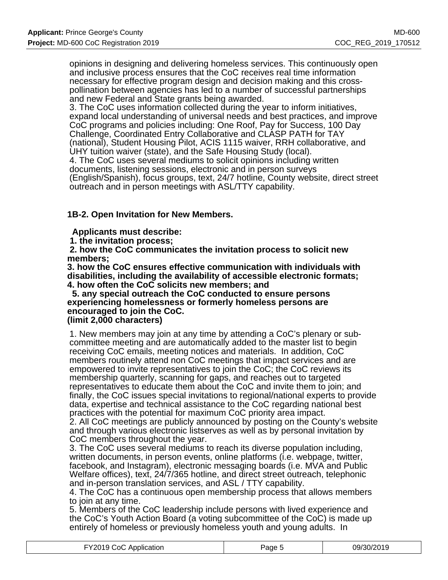opinions in designing and delivering homeless services. This continuously open and inclusive process ensures that the CoC receives real time information necessary for effective program design and decision making and this crosspollination between agencies has led to a number of successful partnerships and new Federal and State grants being awarded.

3. The CoC uses information collected during the year to inform initiatives, expand local understanding of universal needs and best practices, and improve CoC programs and policies including: One Roof, Pay for Success, 100 Day Challenge, Coordinated Entry Collaborative and CLASP PATH for TAY (national), Student Housing Pilot, ACIS 1115 waiver, RRH collaborative, and UHY tuition waiver (state), and the Safe Housing Study (local). 4. The CoC uses several mediums to solicit opinions including written documents, listening sessions, electronic and in person surveys (English/Spanish), focus groups, text, 24/7 hotline, County website, direct street outreach and in person meetings with ASL/TTY capability.

### **1B-2. Open Invitation for New Members.**

 **Applicants must describe:**

 **1. the invitation process;**

 **2. how the CoC communicates the invitation process to solicit new members;**

**3. how the CoC ensures effective communication with individuals with disabilities, including the availability of accessible electronic formats; 4. how often the CoC solicits new members; and**

 **5. any special outreach the CoC conducted to ensure persons experiencing homelessness or formerly homeless persons are encouraged to join the CoC.**

### **(limit 2,000 characters)**

1. New members may join at any time by attending a CoC's plenary or subcommittee meeting and are automatically added to the master list to begin receiving CoC emails, meeting notices and materials. In addition, CoC members routinely attend non CoC meetings that impact services and are empowered to invite representatives to join the CoC; the CoC reviews its membership quarterly, scanning for gaps, and reaches out to targeted representatives to educate them about the CoC and invite them to join; and finally, the CoC issues special invitations to regional/national experts to provide data, expertise and technical assistance to the CoC regarding national best practices with the potential for maximum CoC priority area impact.

2. All CoC meetings are publicly announced by posting on the County's website and through various electronic listserves as well as by personal invitation by CoC members throughout the year.

3. The CoC uses several mediums to reach its diverse population including, written documents, in person events, online platforms (i.e. webpage, twitter, facebook, and Instagram), electronic messaging boards (i.e. MVA and Public Welfare offices), text, 24/7/365 hotline, and direct street outreach, telephonic and in-person translation services, and ASL / TTY capability.

4. The CoC has a continuous open membership process that allows members to join at any time.

5. Members of the CoC leadership include persons with lived experience and the CoC's Youth Action Board (a voting subcommittee of the CoC) is made up entirely of homeless or previously homeless youth and young adults. In

| FY2019 CoC Application | Page : | 09/30/2019 |
|------------------------|--------|------------|
|------------------------|--------|------------|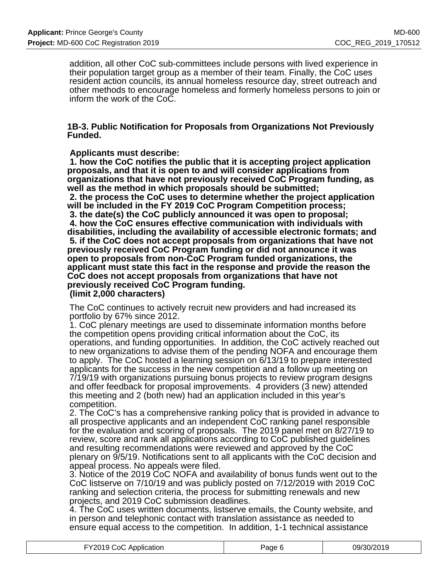addition, all other CoC sub-committees include persons with lived experience in their population target group as a member of their team. Finally, the CoC uses resident action councils, its annual homeless resource day, street outreach and other methods to encourage homeless and formerly homeless persons to join or inform the work of the CoC.

#### **1B-3. Public Notification for Proposals from Organizations Not Previously Funded.**

#### **Applicants must describe:**

 **1. how the CoC notifies the public that it is accepting project application proposals, and that it is open to and will consider applications from organizations that have not previously received CoC Program funding, as well as the method in which proposals should be submitted; 2. the process the CoC uses to determine whether the project application will be included in the FY 2019 CoC Program Competition process; 3. the date(s) the CoC publicly announced it was open to proposal; 4. how the CoC ensures effective communication with individuals with disabilities, including the availability of accessible electronic formats; and 5. if the CoC does not accept proposals from organizations that have not previously received CoC Program funding or did not announce it was open to proposals from non-CoC Program funded organizations, the applicant must state this fact in the response and provide the reason the CoC does not accept proposals from organizations that have not previously received CoC Program funding.**

### **(limit 2,000 characters)**

The CoC continues to actively recruit new providers and had increased its portfolio by 67% since 2012.

1. CoC plenary meetings are used to disseminate information months before the competition opens providing critical information about the CoC, its operations, and funding opportunities. In addition, the CoC actively reached out to new organizations to advise them of the pending NOFA and encourage them to apply. The CoC hosted a learning session on 6/13/19 to prepare interested applicants for the success in the new competition and a follow up meeting on 7/19/19 with organizations pursuing bonus projects to review program designs and offer feedback for proposal improvements. 4 providers (3 new) attended this meeting and 2 (both new) had an application included in this year's competition.

2. The CoC's has a comprehensive ranking policy that is provided in advance to all prospective applicants and an independent CoC ranking panel responsible for the evaluation and scoring of proposals. The 2019 panel met on 8/27/19 to review, score and rank all applications according to CoC published guidelines and resulting recommendations were reviewed and approved by the CoC plenary on 9/5/19. Notifications sent to all applicants with the CoC decision and appeal process. No appeals were filed.

3. Notice of the 2019 CoC NOFA and availability of bonus funds went out to the CoC listserve on 7/10/19 and was publicly posted on 7/12/2019 with 2019 CoC ranking and selection criteria, the process for submitting renewals and new projects, and 2019 CoC submission deadlines.

4. The CoC uses written documents, listserve emails, the County website, and in person and telephonic contact with translation assistance as needed to ensure equal access to the competition. In addition, 1-1 technical assistance

| FY2019 CoC Application | Page 6 | 09/30/2019 |
|------------------------|--------|------------|
|                        |        |            |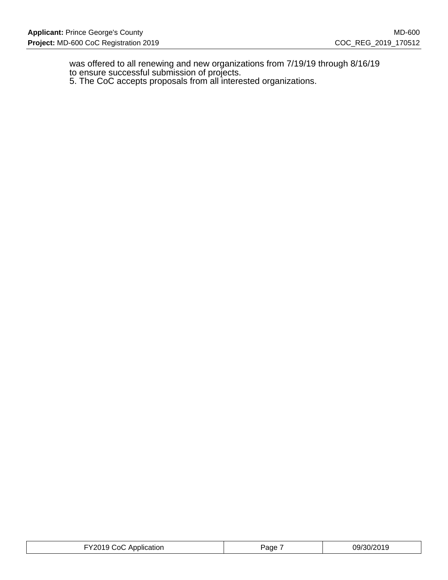was offered to all renewing and new organizations from 7/19/19 through 8/16/19 to ensure successful submission of projects.

5. The CoC accepts proposals from all interested organizations.

| TY2019 CoC Application | Page | 09/30/2019 |
|------------------------|------|------------|
|------------------------|------|------------|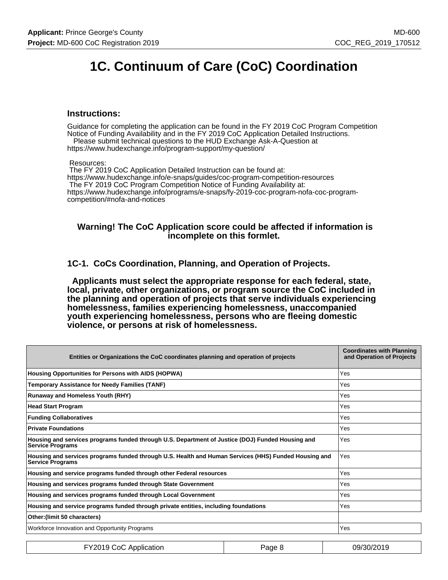# **1C. Continuum of Care (CoC) Coordination**

#### **Instructions:**

Guidance for completing the application can be found in the FY 2019 CoC Program Competition Notice of Funding Availability and in the FY 2019 CoC Application Detailed Instructions. Please submit technical questions to the HUD Exchange Ask-A-Question at

https://www.hudexchange.info/program-support/my-question/

Resources:

 The FY 2019 CoC Application Detailed Instruction can be found at: https://www.hudexchange.info/e-snaps/guides/coc-program-competition-resources The FY 2019 CoC Program Competition Notice of Funding Availability at: https://www.hudexchange.info/programs/e-snaps/fy-2019-coc-program-nofa-coc-programcompetition/#nofa-and-notices

#### **Warning! The CoC Application score could be affected if information is incomplete on this formlet.**

**1C-1. CoCs Coordination, Planning, and Operation of Projects.**

 **Applicants must select the appropriate response for each federal, state, local, private, other organizations, or program source the CoC included in the planning and operation of projects that serve individuals experiencing homelessness, families experiencing homelessness, unaccompanied youth experiencing homelessness, persons who are fleeing domestic violence, or persons at risk of homelessness.**

| Entities or Organizations the CoC coordinates planning and operation of projects                                                | <b>Coordinates with Planning</b><br>and Operation of Projects |
|---------------------------------------------------------------------------------------------------------------------------------|---------------------------------------------------------------|
| Housing Opportunities for Persons with AIDS (HOPWA)                                                                             | Yes                                                           |
| Temporary Assistance for Needy Families (TANF)                                                                                  | Yes                                                           |
| <b>Runaway and Homeless Youth (RHY)</b>                                                                                         | Yes                                                           |
| <b>Head Start Program</b>                                                                                                       | Yes                                                           |
| <b>Funding Collaboratives</b>                                                                                                   | Yes                                                           |
| <b>Private Foundations</b>                                                                                                      | Yes                                                           |
| Housing and services programs funded through U.S. Department of Justice (DOJ) Funded Housing and<br><b>Service Programs</b>     | Yes                                                           |
| Housing and services programs funded through U.S. Health and Human Services (HHS) Funded Housing and<br><b>Service Programs</b> | Yes                                                           |
| Housing and service programs funded through other Federal resources                                                             | Yes                                                           |
| Housing and services programs funded through State Government                                                                   | Yes                                                           |
| Housing and services programs funded through Local Government                                                                   | Yes                                                           |
| Housing and service programs funded through private entities, including foundations                                             | Yes                                                           |
| Other: (limit 50 characters)                                                                                                    |                                                               |
| Workforce Innovation and Opportunity Programs                                                                                   | Yes                                                           |

| FY2019 CoC Application | Page 8 | 09/30/2019 |
|------------------------|--------|------------|
|------------------------|--------|------------|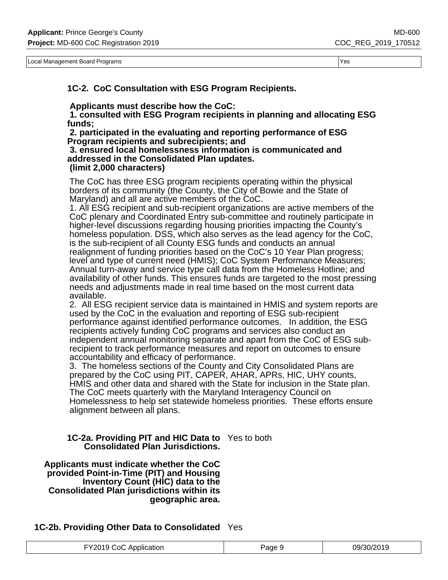Local Management Board Programs Yes

**1C-2. CoC Consultation with ESG Program Recipients.**

 **Applicants must describe how the CoC:**

 **1. consulted with ESG Program recipients in planning and allocating ESG funds;**

 **2. participated in the evaluating and reporting performance of ESG Program recipients and subrecipients; and**

 **3. ensured local homelessness information is communicated and addressed in the Consolidated Plan updates. (limit 2,000 characters)**

The CoC has three ESG program recipients operating within the physical borders of its community (the County, the City of Bowie and the State of Maryland) and all are active members of the CoC.

1. All ESG recipient and sub-recipient organizations are active members of the CoC plenary and Coordinated Entry sub-committee and routinely participate in higher-level discussions regarding housing priorities impacting the County's homeless population. DSS, which also serves as the lead agency for the CoC, is the sub-recipient of all County ESG funds and conducts an annual realignment of funding priorities based on the CoC's 10 Year Plan progress; level and type of current need (HMIS); CoC System Performance Measures; Annual turn-away and service type call data from the Homeless Hotline; and availability of other funds. This ensures funds are targeted to the most pressing needs and adjustments made in real time based on the most current data available.

2. All ESG recipient service data is maintained in HMIS and system reports are used by the CoC in the evaluation and reporting of ESG sub-recipient performance against identified performance outcomes. In addition, the ESG recipients actively funding CoC programs and services also conduct an independent annual monitoring separate and apart from the CoC of ESG subrecipient to track performance measures and report on outcomes to ensure accountability and efficacy of performance.

3. The homeless sections of the County and City Consolidated Plans are prepared by the CoC using PIT, CAPER, AHAR, APRs, HIC, UHY counts, HMIS and other data and shared with the State for inclusion in the State plan. The CoC meets quarterly with the Maryland Interagency Council on Homelessness to help set statewide homeless priorities. These efforts ensure alignment between all plans.

### **1C-2a. Providing PIT and HIC Data to** Yes to both **Consolidated Plan Jurisdictions.**

 **Applicants must indicate whether the CoC provided Point-in-Time (PIT) and Housing Inventory Count (HIC) data to the Consolidated Plan jurisdictions within its geographic area.**

**1C-2b. Providing Other Data to Consolidated** Yes

| FY2019 CoC Application | Page 9 | 09/30/2019 |
|------------------------|--------|------------|
|------------------------|--------|------------|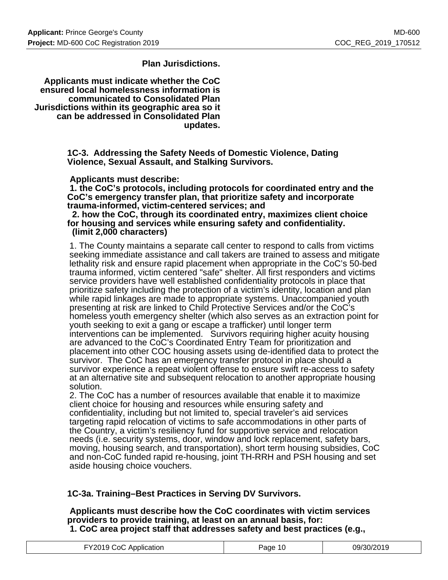### **Plan Jurisdictions.**

 **Applicants must indicate whether the CoC ensured local homelessness information is communicated to Consolidated Plan Jurisdictions within its geographic area so it can be addressed in Consolidated Plan updates.**

> **1C-3. Addressing the Safety Needs of Domestic Violence, Dating Violence, Sexual Assault, and Stalking Survivors.**

 **Applicants must describe:**

 **1. the CoC's protocols, including protocols for coordinated entry and the CoC's emergency transfer plan, that prioritize safety and incorporate trauma-informed, victim-centered services; and**

#### **2. how the CoC, through its coordinated entry, maximizes client choice for housing and services while ensuring safety and confidentiality. (limit 2,000 characters)**

1. The County maintains a separate call center to respond to calls from victims seeking immediate assistance and call takers are trained to assess and mitigate lethality risk and ensure rapid placement when appropriate in the CoC's 50-bed trauma informed, victim centered "safe" shelter. All first responders and victims service providers have well established confidentiality protocols in place that prioritize safety including the protection of a victim's identity, location and plan while rapid linkages are made to appropriate systems. Unaccompanied youth presenting at risk are linked to Child Protective Services and/or the CoC's homeless youth emergency shelter (which also serves as an extraction point for youth seeking to exit a gang or escape a trafficker) until longer term interventions can be implemented. Survivors requiring higher acuity housing are advanced to the CoC's Coordinated Entry Team for prioritization and placement into other COC housing assets using de-identified data to protect the survivor. The CoC has an emergency transfer protocol in place should a survivor experience a repeat violent offense to ensure swift re-access to safety at an alternative site and subsequent relocation to another appropriate housing solution.

2. The CoC has a number of resources available that enable it to maximize client choice for housing and resources while ensuring safety and confidentiality, including but not limited to, special traveler's aid services targeting rapid relocation of victims to safe accommodations in other parts of the Country, a victim's resiliency fund for supportive service and relocation needs (i.e. security systems, door, window and lock replacement, safety bars, moving, housing search, and transportation), short term housing subsidies, CoC and non-CoC funded rapid re-housing, joint TH-RRH and PSH housing and set aside housing choice vouchers.

### **1C-3a. Training–Best Practices in Serving DV Survivors.**

 **Applicants must describe how the CoC coordinates with victim services providers to provide training, at least on an annual basis, for: 1. CoC area project staff that addresses safety and best practices (e.g.,**

| FY2019 CoC Application | Page 10 | 09/30/2019 |
|------------------------|---------|------------|
|------------------------|---------|------------|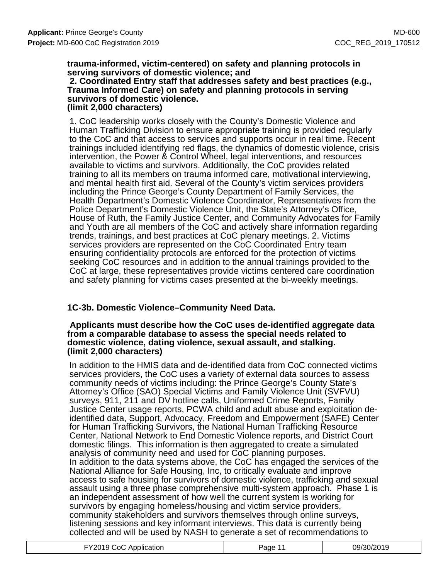#### **trauma-informed, victim-centered) on safety and planning protocols in serving survivors of domestic violence; and 2. Coordinated Entry staff that addresses safety and best practices (e.g., Trauma Informed Care) on safety and planning protocols in serving survivors of domestic violence. (limit 2,000 characters)**

1. CoC leadership works closely with the County's Domestic Violence and Human Trafficking Division to ensure appropriate training is provided regularly to the CoC and that access to services and supports occur in real time. Recent trainings included identifying red flags, the dynamics of domestic violence, crisis intervention, the Power & Control Wheel, legal interventions, and resources available to victims and survivors. Additionally, the CoC provides related training to all its members on trauma informed care, motivational interviewing, and mental health first aid. Several of the County's victim services providers including the Prince George's County Department of Family Services, the Health Department's Domestic Violence Coordinator, Representatives from the Police Department's Domestic Violence Unit, the State's Attorney's Office, House of Ruth, the Family Justice Center, and Community Advocates for Family and Youth are all members of the CoC and actively share information regarding trends, trainings, and best practices at CoC plenary meetings. 2. Victims services providers are represented on the CoC Coordinated Entry team ensuring confidentiality protocols are enforced for the protection of victims seeking CoC resources and in addition to the annual trainings provided to the CoC at large, these representatives provide victims centered care coordination and safety planning for victims cases presented at the bi-weekly meetings.

## **1C-3b. Domestic Violence–Community Need Data.**

#### **Applicants must describe how the CoC uses de-identified aggregate data from a comparable database to assess the special needs related to domestic violence, dating violence, sexual assault, and stalking. (limit 2,000 characters)**

In addition to the HMIS data and de-identified data from CoC connected victims services providers, the CoC uses a variety of external data sources to assess community needs of victims including: the Prince George's County State's Attorney's Office (SAO) Special Victims and Family Violence Unit (SVFVU) surveys, 911, 211 and DV hotline calls, Uniformed Crime Reports, Family Justice Center usage reports, PCWA child and adult abuse and exploitation deidentified data, Support, Advocacy, Freedom and Empowerment (SAFE) Center for Human Trafficking Survivors, the National Human Trafficking Resource Center, National Network to End Domestic Violence reports, and District Court domestic filings. This information is then aggregated to create a simulated analysis of community need and used for CoC planning purposes. In addition to the data systems above, the CoC has engaged the services of the National Alliance for Safe Housing, Inc, to critically evaluate and improve access to safe housing for survivors of domestic violence, trafficking and sexual assault using a three phase comprehensive multi-system approach. Phase 1 is an independent assessment of how well the current system is working for survivors by engaging homeless/housing and victim service providers, community stakeholders and survivors themselves through online surveys, listening sessions and key informant interviews. This data is currently being collected and will be used by NASH to generate a set of recommendations to

| FY2019 CoC Application | Page 11 | 09/30/2019 |
|------------------------|---------|------------|
|------------------------|---------|------------|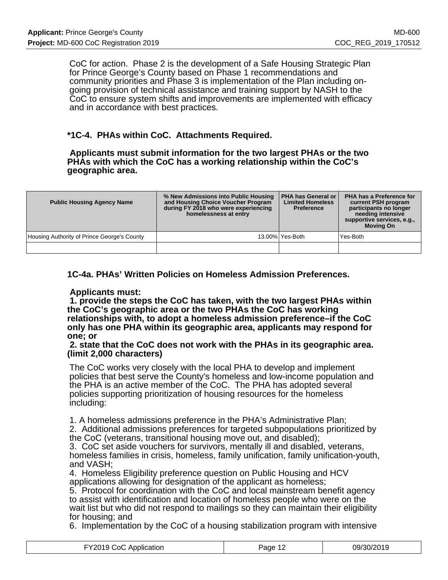CoC for action. Phase 2 is the development of a Safe Housing Strategic Plan for Prince George's County based on Phase 1 recommendations and community priorities and Phase 3 is implementation of the Plan including ongoing provision of technical assistance and training support by NASH to the CoC to ensure system shifts and improvements are implemented with efficacy and in accordance with best practices.

### **\*1C-4. PHAs within CoC. Attachments Required.**

 **Applicants must submit information for the two largest PHAs or the two PHAs with which the CoC has a working relationship within the CoC's geographic area.**

| <b>Public Housing Agency Name</b>           | % New Admissions into Public Housing<br>and Housing Choice Voucher Program<br>during FY 2018 who were experiencing<br>homelessness at entry | <b>PHA has General or</b><br><b>Limited Homeless</b><br><b>Preference</b> | <b>PHA has a Preference for</b><br>current PSH program<br>participants no longer<br>needing intensive<br>supportive services, e.g.,<br><b>Moving On</b> |
|---------------------------------------------|---------------------------------------------------------------------------------------------------------------------------------------------|---------------------------------------------------------------------------|---------------------------------------------------------------------------------------------------------------------------------------------------------|
| Housing Authority of Prince George's County |                                                                                                                                             | 13.00%   Yes-Both                                                         | Yes-Both                                                                                                                                                |
|                                             |                                                                                                                                             |                                                                           |                                                                                                                                                         |

**1C-4a. PHAs' Written Policies on Homeless Admission Preferences.**

#### **Applicants must:**

 **1. provide the steps the CoC has taken, with the two largest PHAs within the CoC's geographic area or the two PHAs the CoC has working relationships with, to adopt a homeless admission preference–if the CoC only has one PHA within its geographic area, applicants may respond for one; or**

#### **2. state that the CoC does not work with the PHAs in its geographic area. (limit 2,000 characters)**

The CoC works very closely with the local PHA to develop and implement policies that best serve the County's homeless and low-income population and the PHA is an active member of the CoC. The PHA has adopted several policies supporting prioritization of housing resources for the homeless including:

1. A homeless admissions preference in the PHA's Administrative Plan;

2. Additional admissions preferences for targeted subpopulations prioritized by the CoC (veterans, transitional housing move out, and disabled);

3. CoC set aside vouchers for survivors, mentally ill and disabled, veterans, homeless families in crisis, homeless, family unification, family unification-youth, and VASH;

4. Homeless Eligibility preference question on Public Housing and HCV applications allowing for designation of the applicant as homeless;

5. Protocol for coordination with the CoC and local mainstream benefit agency to assist with identification and location of homeless people who were on the wait list but who did not respond to mailings so they can maintain their eligibility for housing; and

6. Implementation by the CoC of a housing stabilization program with intensive

| VQ 04<br>ാറ<br>Application<br>$\cdots$ . $\cdots$ . $\cdots$<br>. | ane |  |
|-------------------------------------------------------------------|-----|--|
|-------------------------------------------------------------------|-----|--|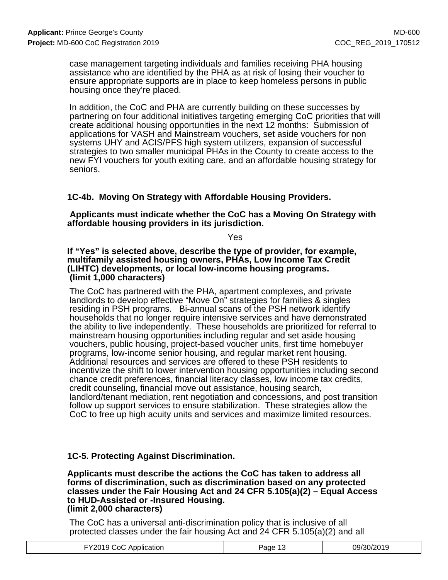case management targeting individuals and families receiving PHA housing assistance who are identified by the PHA as at risk of losing their voucher to ensure appropriate supports are in place to keep homeless persons in public housing once they're placed.

In addition, the CoC and PHA are currently building on these successes by partnering on four additional initiatives targeting emerging CoC priorities that will create additional housing opportunities in the next 12 months: Submission of applications for VASH and Mainstream vouchers, set aside vouchers for non systems UHY and ACIS/PFS high system utilizers, expansion of successful strategies to two smaller municipal PHAs in the County to create access to the new FYI vouchers for youth exiting care, and an affordable housing strategy for seniors.

### **1C-4b. Moving On Strategy with Affordable Housing Providers.**

 **Applicants must indicate whether the CoC has a Moving On Strategy with affordable housing providers in its jurisdiction.**

Yes

**If "Yes" is selected above, describe the type of provider, for example, multifamily assisted housing owners, PHAs, Low Income Tax Credit (LIHTC) developments, or local low-income housing programs. (limit 1,000 characters)**

The CoC has partnered with the PHA, apartment complexes, and private landlords to develop effective "Move On" strategies for families & singles residing in PSH programs. Bi-annual scans of the PSH network identify households that no longer require intensive services and have demonstrated the ability to live independently. These households are prioritized for referral to mainstream housing opportunities including regular and set aside housing vouchers, public housing, project-based voucher units, first time homebuyer programs, low-income senior housing, and regular market rent housing. Additional resources and services are offered to these PSH residents to incentivize the shift to lower intervention housing opportunities including second chance credit preferences, financial literacy classes, low income tax credits, credit counseling, financial move out assistance, housing search, landlord/tenant mediation, rent negotiation and concessions, and post transition follow up support services to ensure stabilization. These strategies allow the CoC to free up high acuity units and services and maximize limited resources.

### **1C-5. Protecting Against Discrimination.**

**Applicants must describe the actions the CoC has taken to address all forms of discrimination, such as discrimination based on any protected classes under the Fair Housing Act and 24 CFR 5.105(a)(2) – Equal Access to HUD-Assisted or -Insured Housing. (limit 2,000 characters)**

The CoC has a universal anti-discrimination policy that is inclusive of all protected classes under the fair housing Act and 24 CFR 5.105(a)(2) and all

| FY2019 CoC Application<br>09/30/2019<br>Page 13 |
|-------------------------------------------------|
|-------------------------------------------------|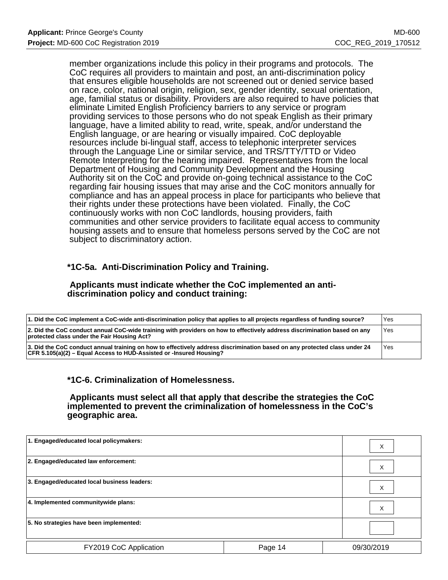member organizations include this policy in their programs and protocols. The CoC requires all providers to maintain and post, an anti-discrimination policy that ensures eligible households are not screened out or denied service based on race, color, national origin, religion, sex, gender identity, sexual orientation, age, familial status or disability. Providers are also required to have policies that eliminate Limited English Proficiency barriers to any service or program providing services to those persons who do not speak English as their primary language, have a limited ability to read, write, speak, and/or understand the English language, or are hearing or visually impaired. CoC deployable resources include bi-lingual staff, access to telephonic interpreter services through the Language Line or similar service, and TRS/TTY/TTD or Video Remote Interpreting for the hearing impaired. Representatives from the local Department of Housing and Community Development and the Housing Authority sit on the CoC and provide on-going technical assistance to the CoC regarding fair housing issues that may arise and the CoC monitors annually for compliance and has an appeal process in place for participants who believe that their rights under these protections have been violated. Finally, the CoC continuously works with non CoC landlords, housing providers, faith communities and other service providers to facilitate equal access to community housing assets and to ensure that homeless persons served by the CoC are not subject to discriminatory action.

### **\*1C-5a. Anti-Discrimination Policy and Training.**

#### **Applicants must indicate whether the CoC implemented an antidiscrimination policy and conduct training:**

| 1. Did the CoC implement a CoC-wide anti-discrimination policy that applies to all projects regardless of funding source?                                                                         | Yes |
|---------------------------------------------------------------------------------------------------------------------------------------------------------------------------------------------------|-----|
| 2. Did the CoC conduct annual CoC-wide training with providers on how to effectively address discrimination based on any<br>protected class under the Fair Housing Act?                           | Yes |
| 3. Did the CoC conduct annual training on how to effectively address discrimination based on any protected class under 24<br> CFR 5.105(a)(2) – Equal Access to HUD-Assisted or -Insured Housing? | Yes |

### **\*1C-6. Criminalization of Homelessness.**

 **Applicants must select all that apply that describe the strategies the CoC implemented to prevent the criminalization of homelessness in the CoC's geographic area.**

| 1. Engaged/educated local policymakers:     |         | X          |
|---------------------------------------------|---------|------------|
| 2. Engaged/educated law enforcement:        |         | X          |
| 3. Engaged/educated local business leaders: |         | X          |
| 4. Implemented communitywide plans:         |         | X          |
| 5. No strategies have been implemented:     |         |            |
| FY2019 CoC Application                      | Page 14 | 09/30/2019 |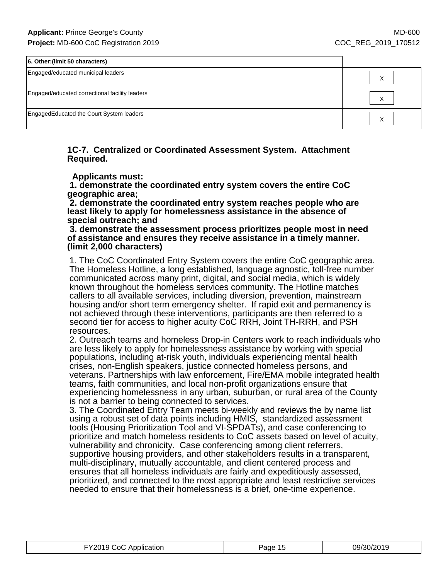| 6. Other: (limit 50 characters)                |  |
|------------------------------------------------|--|
| Engaged/educated municipal leaders             |  |
| Engaged/educated correctional facility leaders |  |
| EngagedEducated the Court System leaders       |  |

#### **1C-7. Centralized or Coordinated Assessment System. Attachment Required.**

 **Applicants must:**

 **1. demonstrate the coordinated entry system covers the entire CoC geographic area;**

 **2. demonstrate the coordinated entry system reaches people who are least likely to apply for homelessness assistance in the absence of special outreach; and**

 **3. demonstrate the assessment process prioritizes people most in need of assistance and ensures they receive assistance in a timely manner. (limit 2,000 characters)**

1. The CoC Coordinated Entry System covers the entire CoC geographic area. The Homeless Hotline, a long established, language agnostic, toll-free number communicated across many print, digital, and social media, which is widely known throughout the homeless services community. The Hotline matches callers to all available services, including diversion, prevention, mainstream housing and/or short term emergency shelter. If rapid exit and permanency is not achieved through these interventions, participants are then referred to a second tier for access to higher acuity CoC RRH, Joint TH-RRH, and PSH resources.

2. Outreach teams and homeless Drop-in Centers work to reach individuals who are less likely to apply for homelessness assistance by working with special populations, including at-risk youth, individuals experiencing mental health crises, non-English speakers, justice connected homeless persons, and veterans. Partnerships with law enforcement, Fire/EMA mobile integrated health teams, faith communities, and local non-profit organizations ensure that experiencing homelessness in any urban, suburban, or rural area of the County is not a barrier to being connected to services.

3. The Coordinated Entry Team meets bi-weekly and reviews the by name list using a robust set of data points including HMIS, standardized assessment tools (Housing Prioritization Tool and VI-SPDATs), and case conferencing to prioritize and match homeless residents to CoC assets based on level of acuity, vulnerability and chronicity. Case conferencing among client referrers, supportive housing providers, and other stakeholders results in a transparent, multi-disciplinary, mutually accountable, and client centered process and ensures that all homeless individuals are fairly and expeditiously assessed, prioritized, and connected to the most appropriate and least restrictive services needed to ensure that their homelessness is a brief, one-time experience.

| FY2019 CoC Application | Page 15 | 09/30/2019 |
|------------------------|---------|------------|
|------------------------|---------|------------|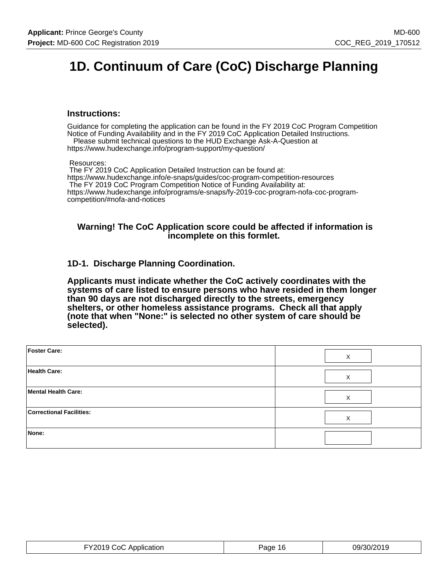# **1D. Continuum of Care (CoC) Discharge Planning**

#### **Instructions:**

Guidance for completing the application can be found in the FY 2019 CoC Program Competition Notice of Funding Availability and in the FY 2019 CoC Application Detailed Instructions. Please submit technical questions to the HUD Exchange Ask-A-Question at

https://www.hudexchange.info/program-support/my-question/

Resources:

 The FY 2019 CoC Application Detailed Instruction can be found at: https://www.hudexchange.info/e-snaps/guides/coc-program-competition-resources The FY 2019 CoC Program Competition Notice of Funding Availability at: https://www.hudexchange.info/programs/e-snaps/fy-2019-coc-program-nofa-coc-programcompetition/#nofa-and-notices

#### **Warning! The CoC Application score could be affected if information is incomplete on this formlet.**

### **1D-1. Discharge Planning Coordination.**

**Applicants must indicate whether the CoC actively coordinates with the systems of care listed to ensure persons who have resided in them longer than 90 days are not discharged directly to the streets, emergency shelters, or other homeless assistance programs. Check all that apply (note that when "None:" is selected no other system of care should be selected).**

| Foster Care:                    | X |
|---------------------------------|---|
| <b>Health Care:</b>             | X |
| Mental Health Care:             | X |
| <b>Correctional Facilities:</b> | X |
| None:                           |   |

| FY2019 CoC Application | Page<br>-16 | 09/30/2019 |
|------------------------|-------------|------------|
|------------------------|-------------|------------|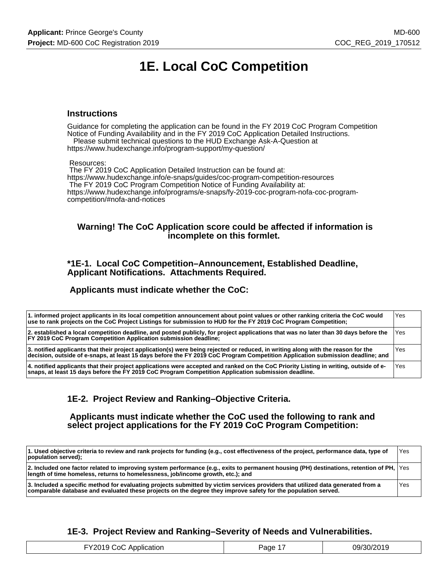# **1E. Local CoC Competition**

#### **Instructions**

Guidance for completing the application can be found in the FY 2019 CoC Program Competition Notice of Funding Availability and in the FY 2019 CoC Application Detailed Instructions. Please submit technical questions to the HUD Exchange Ask-A-Question at

https://www.hudexchange.info/program-support/my-question/

#### Resources:

 The FY 2019 CoC Application Detailed Instruction can be found at: https://www.hudexchange.info/e-snaps/guides/coc-program-competition-resources The FY 2019 CoC Program Competition Notice of Funding Availability at: https://www.hudexchange.info/programs/e-snaps/fy-2019-coc-program-nofa-coc-programcompetition/#nofa-and-notices

#### **Warning! The CoC Application score could be affected if information is incomplete on this formlet.**

#### **\*1E-1. Local CoC Competition–Announcement, Established Deadline, Applicant Notifications. Attachments Required.**

#### **Applicants must indicate whether the CoC:**

| 1. informed project applicants in its local competition announcement about point values or other ranking criteria the CoC would<br>use to rank projects on the CoC Project Listings for submission to HUD for the FY 2019 CoC Program Competition;                  | Yes   |
|---------------------------------------------------------------------------------------------------------------------------------------------------------------------------------------------------------------------------------------------------------------------|-------|
| 2. established a local competition deadline, and posted publicly, for project applications that was no later than 30 days before the<br><b>FY 2019 CoC Program Competition Application submission deadline:</b>                                                     | l Yes |
| 3. notified applicants that their project application(s) were being rejected or reduced, in writing along with the reason for the<br>decision, outside of e-snaps, at least 15 days before the FY 2019 CoC Program Competition Application submission deadline; and | Yes   |
| 4. notified applicants that their project applications were accepted and ranked on the CoC Priority Listing in writing, outside of e-<br>snaps, at least 15 days before the FY 2019 CoC Program Competition Application submission deadline.                        | Yes   |

### **1E-2. Project Review and Ranking–Objective Criteria.**

 **Applicants must indicate whether the CoC used the following to rank and select project applications for the FY 2019 CoC Program Competition:**

| 1. Used objective criteria to review and rank projects for funding (e.g., cost effectiveness of the project, performance data, type of<br>population served);                                                                                     | Yes |
|---------------------------------------------------------------------------------------------------------------------------------------------------------------------------------------------------------------------------------------------------|-----|
| 2. Included one factor related to improving system performance (e.g., exits to permanent housing (PH) destinations, retention of PH, $ Y$ es<br>length of time homeless, returns to homelessness, job/income growth, etc.); and                   |     |
| 3. Included a specific method for evaluating projects submitted by victim services providers that utilized data generated from a<br>comparable database and evaluated these projects on the degree they improve safety for the population served. | Yes |

### **1E-3. Project Review and Ranking–Severity of Needs and Vulnerabilities.**

| EV2010<br>``∩(∶<br>Application | Page | 09/30/2019 |
|--------------------------------|------|------------|
|--------------------------------|------|------------|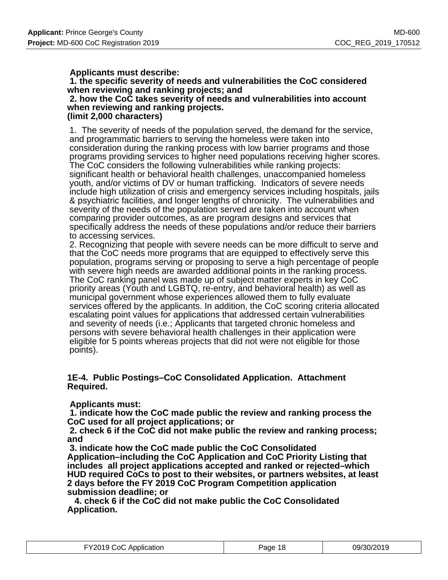### **Applicants must describe:**

 **1. the specific severity of needs and vulnerabilities the CoC considered when reviewing and ranking projects; and**

 **2. how the CoC takes severity of needs and vulnerabilities into account when reviewing and ranking projects. (limit 2,000 characters)**

1. The severity of needs of the population served, the demand for the service, and programmatic barriers to serving the homeless were taken into consideration during the ranking process with low barrier programs and those programs providing services to higher need populations receiving higher scores. The CoC considers the following vulnerabilities while ranking projects: significant health or behavioral health challenges, unaccompanied homeless youth, and/or victims of DV or human trafficking. Indicators of severe needs include high utilization of crisis and emergency services including hospitals, jails & psychiatric facilities, and longer lengths of chronicity. The vulnerabilities and severity of the needs of the population served are taken into account when comparing provider outcomes, as are program designs and services that specifically address the needs of these populations and/or reduce their barriers to accessing services.

2. Recognizing that people with severe needs can be more difficult to serve and that the CoC needs more programs that are equipped to effectively serve this population, programs serving or proposing to serve a high percentage of people with severe high needs are awarded additional points in the ranking process. The CoC ranking panel was made up of subject matter experts in key CoC priority areas (Youth and LGBTQ, re-entry, and behavioral health) as well as municipal government whose experiences allowed them to fully evaluate services offered by the applicants. In addition, the CoC scoring criteria allocated escalating point values for applications that addressed certain vulnerabilities and severity of needs (i.e.; Applicants that targeted chronic homeless and persons with severe behavioral health challenges in their application were eligible for 5 points whereas projects that did not were not eligible for those points).

### **1E-4. Public Postings–CoC Consolidated Application. Attachment Required.**

### **Applicants must:**

 **1. indicate how the CoC made public the review and ranking process the CoC used for all project applications; or**

 **2. check 6 if the CoC did not make public the review and ranking process; and**

 **3. indicate how the CoC made public the CoC Consolidated Application–including the CoC Application and CoC Priority Listing that includes all project applications accepted and ranked or rejected–which HUD required CoCs to post to their websites, or partners websites, at least 2 days before the FY 2019 CoC Program Competition application submission deadline; or**

 **4. check 6 if the CoC did not make public the CoC Consolidated Application.**

| FY2019 CoC Application | Page 18 | 09/30/2019 |
|------------------------|---------|------------|
|------------------------|---------|------------|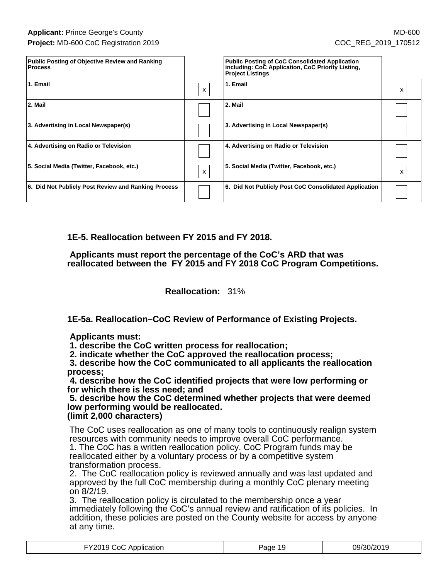| <b>Public Posting of Objective Review and Ranking</b><br><b>Process</b> |   | <b>Public Posting of CoC Consolidated Application</b><br>including: CoC Application, CoC Priority Listing,<br><b>Project Listings</b> |   |
|-------------------------------------------------------------------------|---|---------------------------------------------------------------------------------------------------------------------------------------|---|
| 1. Email                                                                | X | 1. Email                                                                                                                              | х |
| 2. Mail                                                                 |   | 2. Mail                                                                                                                               |   |
| 3. Advertising in Local Newspaper(s)                                    |   | 3. Advertising in Local Newspaper(s)                                                                                                  |   |
| 4. Advertising on Radio or Television                                   |   | 4. Advertising on Radio or Television                                                                                                 |   |
| 5. Social Media (Twitter, Facebook, etc.)                               | X | 5. Social Media (Twitter, Facebook, etc.)                                                                                             | X |
| 6. Did Not Publicly Post Review and Ranking Process                     |   | 6. Did Not Publicly Post CoC Consolidated Application                                                                                 |   |

**1E-5. Reallocation between FY 2015 and FY 2018.**

 **Applicants must report the percentage of the CoC's ARD that was reallocated between the FY 2015 and FY 2018 CoC Program Competitions.**

**Reallocation:** 31%

**1E-5a. Reallocation–CoC Review of Performance of Existing Projects.**

 **Applicants must:**

 **1. describe the CoC written process for reallocation;**

 **2. indicate whether the CoC approved the reallocation process;**

 **3. describe how the CoC communicated to all applicants the reallocation process;**

 **4. describe how the CoC identified projects that were low performing or for which there is less need; and**

 **5. describe how the CoC determined whether projects that were deemed low performing would be reallocated.**

**(limit 2,000 characters)**

The CoC uses reallocation as one of many tools to continuously realign system resources with community needs to improve overall CoC performance. 1. The CoC has a written reallocation policy. CoC Program funds may be reallocated either by a voluntary process or by a competitive system transformation process.

2. The CoC reallocation policy is reviewed annually and was last updated and approved by the full CoC membership during a monthly CoC plenary meeting on 8/2/19.

3. The reallocation policy is circulated to the membership once a year immediately following the CoC's annual review and ratification of its policies. In addition, these policies are posted on the County website for access by anyone at any time.

| FY2019 CoC Application | Page 19 | 09/30/2019 |
|------------------------|---------|------------|
|------------------------|---------|------------|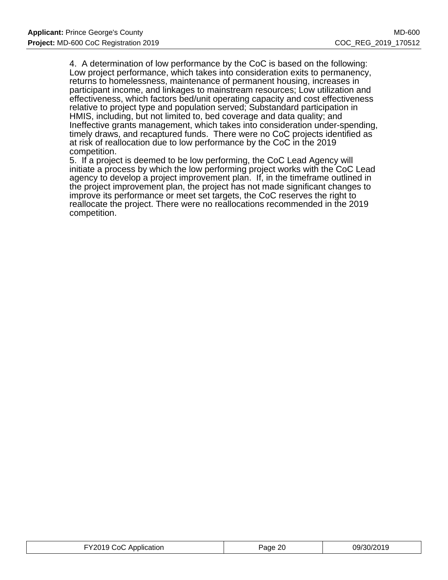4. A determination of low performance by the CoC is based on the following: Low project performance, which takes into consideration exits to permanency, returns to homelessness, maintenance of permanent housing, increases in participant income, and linkages to mainstream resources; Low utilization and effectiveness, which factors bed/unit operating capacity and cost effectiveness relative to project type and population served; Substandard participation in HMIS, including, but not limited to, bed coverage and data quality; and Ineffective grants management, which takes into consideration under-spending, timely draws, and recaptured funds. There were no CoC projects identified as at risk of reallocation due to low performance by the CoC in the 2019 competition.

5. If a project is deemed to be low performing, the CoC Lead Agency will initiate a process by which the low performing project works with the CoC Lead agency to develop a project improvement plan. If, in the timeframe outlined in the project improvement plan, the project has not made significant changes to improve its performance or meet set targets, the CoC reserves the right to reallocate the project. There were no reallocations recommended in the 2019 competition.

| 09/30/2019<br>FY2019 CoC Application<br>Page 20 |
|-------------------------------------------------|
|-------------------------------------------------|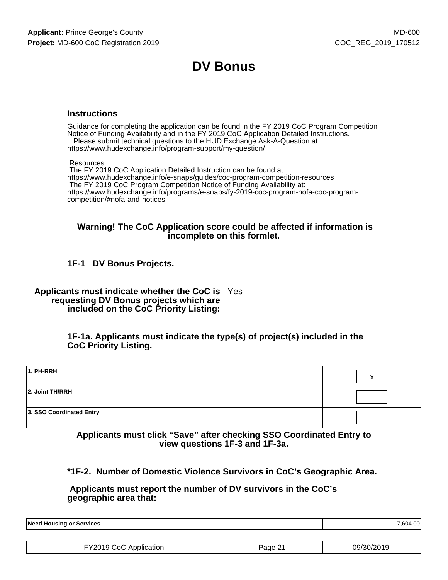# **DV Bonus**

#### **Instructions**

Guidance for completing the application can be found in the FY 2019 CoC Program Competition Notice of Funding Availability and in the FY 2019 CoC Application Detailed Instructions. Please submit technical questions to the HUD Exchange Ask-A-Question at

https://www.hudexchange.info/program-support/my-question/

Resources:

 The FY 2019 CoC Application Detailed Instruction can be found at: https://www.hudexchange.info/e-snaps/guides/coc-program-competition-resources The FY 2019 CoC Program Competition Notice of Funding Availability at: https://www.hudexchange.info/programs/e-snaps/fy-2019-coc-program-nofa-coc-programcompetition/#nofa-and-notices

#### **Warning! The CoC Application score could be affected if information is incomplete on this formlet.**

### **1F-1 DV Bonus Projects.**

**Applicants must indicate whether the CoC is** Yes **requesting DV Bonus projects which are included on the CoC Priority Listing:**

> **1F-1a. Applicants must indicate the type(s) of project(s) included in the CoC Priority Listing.**

| 1. PH-RRH                |  |
|--------------------------|--|
| 2. Joint TH/RRH          |  |
| 3. SSO Coordinated Entry |  |

**Applicants must click "Save" after checking SSO Coordinated Entry to view questions 1F-3 and 1F-3a.**

**\*1F-2. Number of Domestic Violence Survivors in CoC's Geographic Area.**

 **Applicants must report the number of DV survivors in the CoC's geographic area that:**

**Need Housing or Services** 7,604.00

| FY2019 CoC Application | Page 21 | 09/30/2019 |
|------------------------|---------|------------|
|------------------------|---------|------------|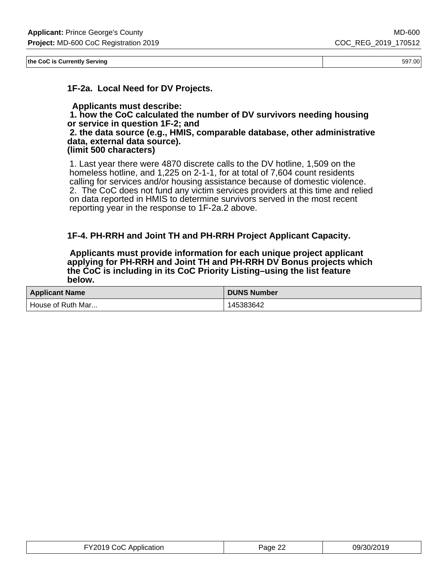**the CoC is Currently Serving** 597.00

**1F-2a. Local Need for DV Projects.**

 **Applicants must describe: 1. how the CoC calculated the number of DV survivors needing housing or service in question 1F-2; and 2. the data source (e.g., HMIS, comparable database, other administrative data, external data source). (limit 500 characters)**

1. Last year there were 4870 discrete calls to the DV hotline, 1,509 on the homeless hotline, and 1,225 on 2-1-1, for at total of 7,604 count residents calling for services and/or housing assistance because of domestic violence. 2. The CoC does not fund any victim services providers at this time and relied on data reported in HMIS to determine survivors served in the most recent reporting year in the response to 1F-2a.2 above.

### **1F-4. PH-RRH and Joint TH and PH-RRH Project Applicant Capacity.**

 **Applicants must provide information for each unique project applicant applying for PH-RRH and Joint TH and PH-RRH DV Bonus projects which the CoC is including in its CoC Priority Listing–using the list feature below.**

| <b>Applicant Name</b> | <b>DUNS Number</b> |
|-----------------------|--------------------|
| House of Ruth Mar     | 45383642           |

| Application<br>∍ CoC. | 'age | 19<br>$1 - 1$<br>ו ⁄וור |
|-----------------------|------|-------------------------|
|-----------------------|------|-------------------------|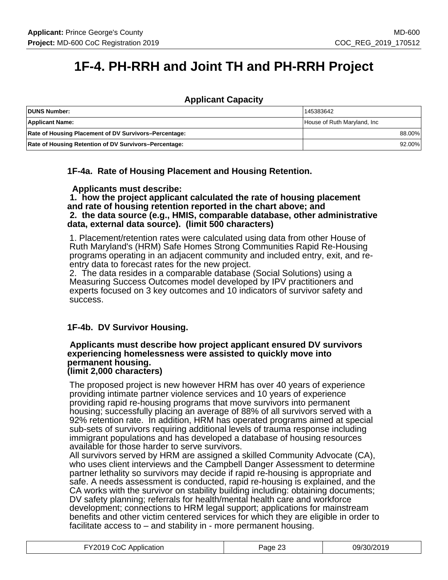# **1F-4. PH-RRH and Joint TH and PH-RRH Project**

### **Applicant Capacity**

| DUNS Number:                                          | 145383642                    |  |
|-------------------------------------------------------|------------------------------|--|
| <b>Applicant Name:</b>                                | House of Ruth Maryland, Inc. |  |
| Rate of Housing Placement of DV Survivors-Percentage: | 88.00%                       |  |
| Rate of Housing Retention of DV Survivors-Percentage: | 92.00%                       |  |

**1F-4a. Rate of Housing Placement and Housing Retention.**

 **Applicants must describe:**

 **1. how the project applicant calculated the rate of housing placement and rate of housing retention reported in the chart above; and 2. the data source (e.g., HMIS, comparable database, other administrative data, external data source). (limit 500 characters)**

1. Placement/retention rates were calculated using data from other House of Ruth Maryland's (HRM) Safe Homes Strong Communities Rapid Re-Housing programs operating in an adjacent community and included entry, exit, and reentry data to forecast rates for the new project.

2. The data resides in a comparable database (Social Solutions) using a Measuring Success Outcomes model developed by IPV practitioners and experts focused on 3 key outcomes and 10 indicators of survivor safety and success.

### **1F-4b. DV Survivor Housing.**

#### **Applicants must describe how project applicant ensured DV survivors experiencing homelessness were assisted to quickly move into permanent housing. (limit 2,000 characters)**

The proposed project is new however HRM has over 40 years of experience providing intimate partner violence services and 10 years of experience providing rapid re-housing programs that move survivors into permanent housing; successfully placing an average of 88% of all survivors served with a 92% retention rate. In addition, HRM has operated programs aimed at special sub-sets of survivors requiring additional levels of trauma response including immigrant populations and has developed a database of housing resources available for those harder to serve survivors.

All survivors served by HRM are assigned a skilled Community Advocate (CA), who uses client interviews and the Campbell Danger Assessment to determine partner lethality so survivors may decide if rapid re-housing is appropriate and safe. A needs assessment is conducted, rapid re-housing is explained, and the CA works with the survivor on stability building including: obtaining documents; DV safety planning; referrals for health/mental health care and workforce development; connections to HRM legal support; applications for mainstream benefits and other victim centered services for which they are eligible in order to facilitate access to – and stability in - more permanent housing.

| FY2019 CoC Application | Page 23 | 09/30/2019 |
|------------------------|---------|------------|
|------------------------|---------|------------|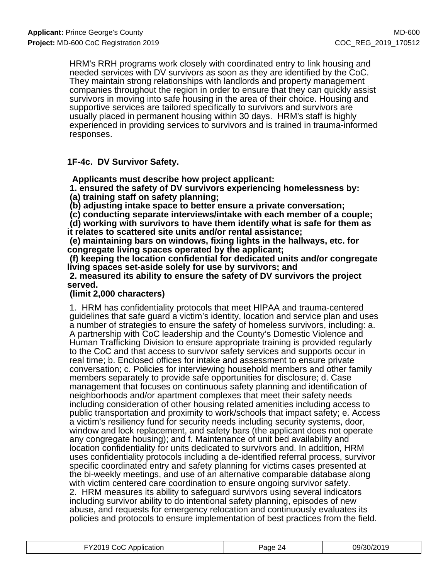HRM's RRH programs work closely with coordinated entry to link housing and needed services with DV survivors as soon as they are identified by the CoC. They maintain strong relationships with landlords and property management companies throughout the region in order to ensure that they can quickly assist survivors in moving into safe housing in the area of their choice. Housing and supportive services are tailored specifically to survivors and survivors are usually placed in permanent housing within 30 days. HRM's staff is highly experienced in providing services to survivors and is trained in trauma-informed responses.

### **1F-4c. DV Survivor Safety.**

 **Applicants must describe how project applicant:**

 **1. ensured the safety of DV survivors experiencing homelessness by: (a) training staff on safety planning;**

 **(b) adjusting intake space to better ensure a private conversation;**

 **(c) conducting separate interviews/intake with each member of a couple;**

 **(d) working with survivors to have them identify what is safe for them as it relates to scattered site units and/or rental assistance;**

 **(e) maintaining bars on windows, fixing lights in the hallways, etc. for congregate living spaces operated by the applicant;**

 **(f) keeping the location confidential for dedicated units and/or congregate living spaces set-aside solely for use by survivors; and**

 **2. measured its ability to ensure the safety of DV survivors the project served.**

### **(limit 2,000 characters)**

1. HRM has confidentiality protocols that meet HIPAA and trauma-centered guidelines that safe guard a victim's identity, location and service plan and uses a number of strategies to ensure the safety of homeless survivors, including: a. A partnership with CoC leadership and the County's Domestic Violence and Human Trafficking Division to ensure appropriate training is provided regularly to the CoC and that access to survivor safety services and supports occur in real time; b. Enclosed offices for intake and assessment to ensure private conversation; c. Policies for interviewing household members and other family members separately to provide safe opportunities for disclosure; d. Case management that focuses on continuous safety planning and identification of neighborhoods and/or apartment complexes that meet their safety needs including consideration of other housing related amenities including access to public transportation and proximity to work/schools that impact safety; e. Access a victim's resiliency fund for security needs including security systems, door, window and lock replacement, and safety bars (the applicant does not operate any congregate housing); and f. Maintenance of unit bed availability and location confidentiality for units dedicated to survivors and. In addition, HRM uses confidentiality protocols including a de-identified referral process, survivor specific coordinated entry and safety planning for victims cases presented at the bi-weekly meetings, and use of an alternative comparable database along with victim centered care coordination to ensure ongoing survivor safety. 2. HRM measures its ability to safeguard survivors using several indicators including survivor ability to do intentional safety planning, episodes of new abuse, and requests for emergency relocation and continuously evaluates its policies and protocols to ensure implementation of best practices from the field.

| FY2019 CoC Application | Page 24 | 09/30/2019 |
|------------------------|---------|------------|
|------------------------|---------|------------|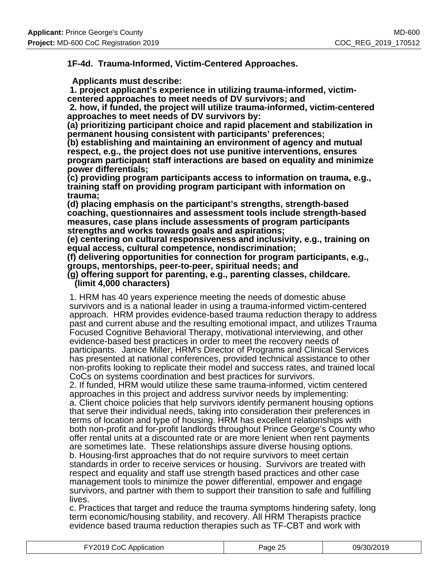### **1F-4d. Trauma-Informed, Victim-Centered Approaches.**

 **Applicants must describe:**

 **1. project applicant's experience in utilizing trauma-informed, victimcentered approaches to meet needs of DV survivors; and**

 **2. how, if funded, the project will utilize trauma-informed, victim-centered approaches to meet needs of DV survivors by:**

**(a) prioritizing participant choice and rapid placement and stabilization in permanent housing consistent with participants' preferences;**

**(b) establishing and maintaining an environment of agency and mutual respect, e.g., the project does not use punitive interventions, ensures program participant staff interactions are based on equality and minimize power differentials;**

**(c) providing program participants access to information on trauma, e.g., training staff on providing program participant with information on trauma;**

**(d) placing emphasis on the participant's strengths, strength-based coaching, questionnaires and assessment tools include strength-based measures, case plans include assessments of program participants strengths and works towards goals and aspirations;**

**(e) centering on cultural responsiveness and inclusivity, e.g., training on equal access, cultural competence, nondiscrimination;**

**(f) delivering opportunities for connection for program participants, e.g., groups, mentorships, peer-to-peer, spiritual needs; and**

#### **(g) offering support for parenting, e.g., parenting classes, childcare. (limit 4,000 characters)**

1. HRM has 40 years experience meeting the needs of domestic abuse survivors and is a national leader in using a trauma-informed victim-centered approach. HRM provides evidence-based trauma reduction therapy to address past and current abuse and the resulting emotional impact, and utilizes Trauma Focused Cognitive Behavioral Therapy, motivational interviewing, and other evidence-based best practices in order to meet the recovery needs of participants. Janice Miller, HRM's Director of Programs and Clinical Services has presented at national conferences, provided technical assistance to other non-profits looking to replicate their model and success rates, and trained local CoCs on systems coordination and best practices for survivors.

2. If funded, HRM would utilize these same trauma-informed, victim centered approaches in this project and address survivor needs by implementing: a. Client choice policies that help survivors identify permanent housing options that serve their individual needs, taking into consideration their preferences in terms of location and type of housing. HRM has excellent relationships with both non-profit and for-profit landlords throughout Prince George's County who offer rental units at a discounted rate or are more lenient when rent payments are sometimes late. These relationships assure diverse housing options. b. Housing-first approaches that do not require survivors to meet certain standards in order to receive services or housing. Survivors are treated with respect and equality and staff use strength based practices and other case management tools to minimize the power differential, empower and engage survivors, and partner with them to support their transition to safe and fulfilling lives.

c. Practices that target and reduce the trauma symptoms hindering safety, long term economic/housing stability, and recovery. All HRM Therapists practice evidence based trauma reduction therapies such as TF-CBT and work with

| FY2019 CoC Application | Page 25 | 09/30/2019 |
|------------------------|---------|------------|
|------------------------|---------|------------|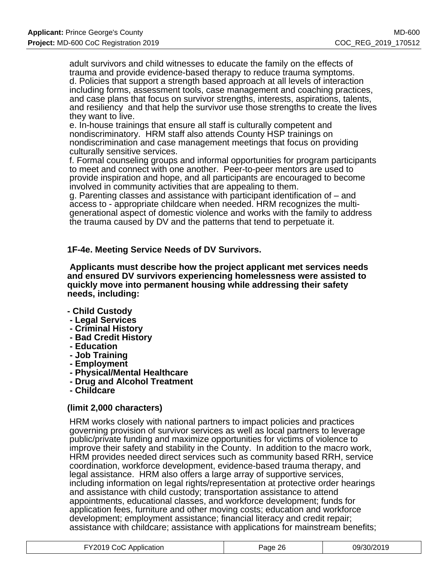adult survivors and child witnesses to educate the family on the effects of trauma and provide evidence-based therapy to reduce trauma symptoms. d. Policies that support a strength based approach at all levels of interaction including forms, assessment tools, case management and coaching practices, and case plans that focus on survivor strengths, interests, aspirations, talents, and resiliency and that help the survivor use those strengths to create the lives they want to live.

e. In-house trainings that ensure all staff is culturally competent and nondiscriminatory. HRM staff also attends County HSP trainings on nondiscrimination and case management meetings that focus on providing culturally sensitive services.

f. Formal counseling groups and informal opportunities for program participants to meet and connect with one another. Peer-to-peer mentors are used to provide inspiration and hope, and all participants are encouraged to become involved in community activities that are appealing to them.

g. Parenting classes and assistance with participant identification of – and access to - appropriate childcare when needed. HRM recognizes the multigenerational aspect of domestic violence and works with the family to address the trauma caused by DV and the patterns that tend to perpetuate it.

### **1F-4e. Meeting Service Needs of DV Survivors.**

 **Applicants must describe how the project applicant met services needs and ensured DV survivors experiencing homelessness were assisted to quickly move into permanent housing while addressing their safety needs, including:**

#### **- Child Custody**

- **Legal Services**
- **Criminal History**
- **Bad Credit History**
- **Education**
- **Job Training**
- **Employment**
- **Physical/Mental Healthcare**
- **Drug and Alcohol Treatment**
- **Childcare**

### **(limit 2,000 characters)**

HRM works closely with national partners to impact policies and practices governing provision of survivor services as well as local partners to leverage public/private funding and maximize opportunities for victims of violence to improve their safety and stability in the County. In addition to the macro work, HRM provides needed direct services such as community based RRH, service coordination, workforce development, evidence-based trauma therapy, and legal assistance. HRM also offers a large array of supportive services, including information on legal rights/representation at protective order hearings and assistance with child custody; transportation assistance to attend appointments, educational classes, and workforce development; funds for application fees, furniture and other moving costs; education and workforce development; employment assistance; financial literacy and credit repair; assistance with childcare; assistance with applications for mainstream benefits;

| FY2019 CoC Application | Page 26 | 09/30/2019 |
|------------------------|---------|------------|
|------------------------|---------|------------|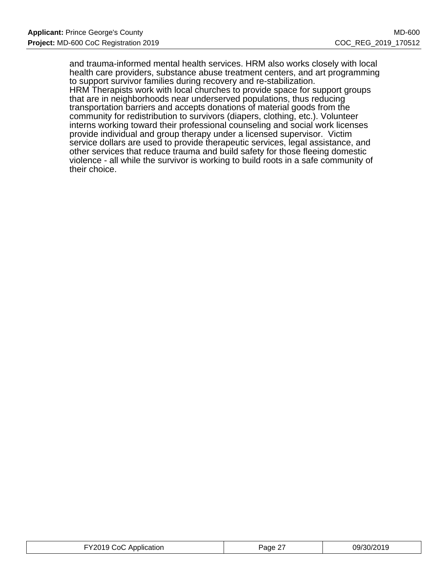and trauma-informed mental health services. HRM also works closely with local health care providers, substance abuse treatment centers, and art programming to support survivor families during recovery and re-stabilization.

HRM Therapists work with local churches to provide space for support groups that are in neighborhoods near underserved populations, thus reducing transportation barriers and accepts donations of material goods from the community for redistribution to survivors (diapers, clothing, etc.). Volunteer interns working toward their professional counseling and social work licenses provide individual and group therapy under a licensed supervisor. Victim service dollars are used to provide therapeutic services, legal assistance, and other services that reduce trauma and build safety for those fleeing domestic violence - all while the survivor is working to build roots in a safe community of their choice.

| FY2019 CoC Application | Page 27 | 09/30/2019 |
|------------------------|---------|------------|
|------------------------|---------|------------|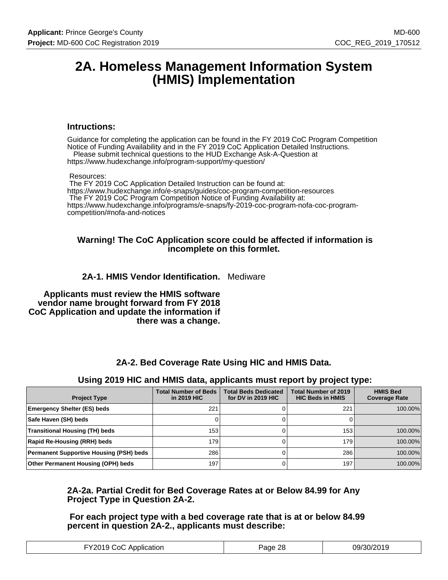## **2A. Homeless Management Information System (HMIS) Implementation**

#### **Intructions:**

Guidance for completing the application can be found in the FY 2019 CoC Program Competition Notice of Funding Availability and in the FY 2019 CoC Application Detailed Instructions. Please submit technical questions to the HUD Exchange Ask-A-Question at https://www.hudexchange.info/program-support/my-question/

#### Resources:

 The FY 2019 CoC Application Detailed Instruction can be found at: https://www.hudexchange.info/e-snaps/guides/coc-program-competition-resources The FY 2019 CoC Program Competition Notice of Funding Availability at: https://www.hudexchange.info/programs/e-snaps/fy-2019-coc-program-nofa-coc-programcompetition/#nofa-and-notices

#### **Warning! The CoC Application score could be affected if information is incomplete on this formlet.**

### **2A-1. HMIS Vendor Identification.** Mediware

 **Applicants must review the HMIS software vendor name brought forward from FY 2018 CoC Application and update the information if there was a change.**

### **2A-2. Bed Coverage Rate Using HIC and HMIS Data.**

#### **Using 2019 HIC and HMIS data, applicants must report by project type:**

| <b>Project Type</b>                            | <b>Total Number of Beds</b><br>in 2019 HIC | <b>Total Beds Dedicated</b><br>for DV in 2019 HIC | <b>Total Number of 2019</b><br><b>HIC Beds in HMIS</b> | <b>HMIS Bed</b><br><b>Coverage Rate</b> |
|------------------------------------------------|--------------------------------------------|---------------------------------------------------|--------------------------------------------------------|-----------------------------------------|
| <b>Emergency Shelter (ES) beds</b>             | 221                                        |                                                   | 221                                                    | 100.00%                                 |
| Safe Haven (SH) beds                           |                                            |                                                   |                                                        |                                         |
| <b>Transitional Housing (TH) beds</b>          | 153                                        |                                                   | 153                                                    | 100.00%                                 |
| Rapid Re-Housing (RRH) beds                    | 179                                        |                                                   | 179                                                    | 100.00%                                 |
| <b>Permanent Supportive Housing (PSH) beds</b> | 286                                        |                                                   | 286                                                    | 100.00%                                 |
| Other Permanent Housing (OPH) beds             | 197                                        |                                                   | 197                                                    | 100.00%                                 |

### **2A-2a. Partial Credit for Bed Coverage Rates at or Below 84.99 for Any Project Type in Question 2A-2.**

 **For each project type with a bed coverage rate that is at or below 84.99 percent in question 2A-2., applicants must describe:**

| :ഹ<br>המזו<br>Application<br>. | 0<br>ane | הר <i>חרו</i> חכ <i>י</i> י<br>JQ,<br>31177<br>$\sim$ |
|--------------------------------|----------|-------------------------------------------------------|
|--------------------------------|----------|-------------------------------------------------------|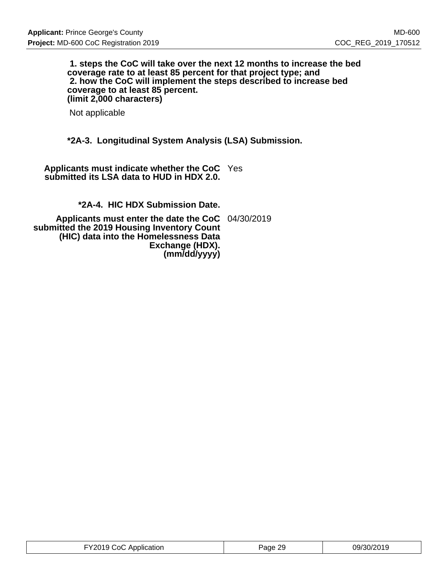#### **1. steps the CoC will take over the next 12 months to increase the bed coverage rate to at least 85 percent for that project type; and 2. how the CoC will implement the steps described to increase bed coverage to at least 85 percent. (limit 2,000 characters)**

Not applicable

### **\*2A-3. Longitudinal System Analysis (LSA) Submission.**

**Applicants must indicate whether the CoC** Yes **submitted its LSA data to HUD in HDX 2.0.**

**\*2A-4. HIC HDX Submission Date.**

**Applicants must enter the date the CoC** 04/30/2019 **submitted the 2019 Housing Inventory Count (HIC) data into the Homelessness Data Exchange (HDX). (mm/dd/yyyy)**

| FY2019 CoC Application | Page 29 | 09/30/2019 |
|------------------------|---------|------------|
|------------------------|---------|------------|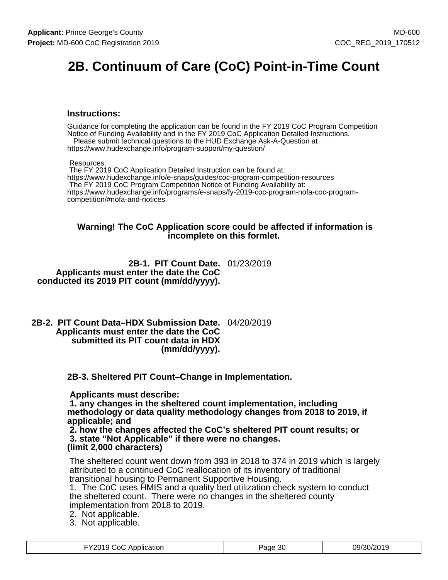# **2B. Continuum of Care (CoC) Point-in-Time Count**

#### **Instructions:**

Guidance for completing the application can be found in the FY 2019 CoC Program Competition Notice of Funding Availability and in the FY 2019 CoC Application Detailed Instructions. Please submit technical questions to the HUD Exchange Ask-A-Question at

https://www.hudexchange.info/program-support/my-question/

Resources:

 The FY 2019 CoC Application Detailed Instruction can be found at: https://www.hudexchange.info/e-snaps/guides/coc-program-competition-resources The FY 2019 CoC Program Competition Notice of Funding Availability at: https://www.hudexchange.info/programs/e-snaps/fy-2019-coc-program-nofa-coc-programcompetition/#nofa-and-notices

#### **Warning! The CoC Application score could be affected if information is incomplete on this formlet.**

**2B-1. PIT Count Date.** 01/23/2019 **Applicants must enter the date the CoC conducted its 2019 PIT count (mm/dd/yyyy).**

**2B-2. PIT Count Data–HDX Submission Date.** 04/20/2019 **Applicants must enter the date the CoC submitted its PIT count data in HDX (mm/dd/yyyy).**

**2B-3. Sheltered PIT Count–Change in Implementation.**

 **Applicants must describe:**

 **1. any changes in the sheltered count implementation, including methodology or data quality methodology changes from 2018 to 2019, if applicable; and**

 **2. how the changes affected the CoC's sheltered PIT count results; or 3. state "Not Applicable" if there were no changes. (limit 2,000 characters)**

The sheltered count went down from 393 in 2018 to 374 in 2019 which is largely attributed to a continued CoC reallocation of its inventory of traditional transitional housing to Permanent Supportive Housing.

1. The CoC uses HMIS and a quality bed utilization check system to conduct the sheltered count. There were no changes in the sheltered county implementation from 2018 to 2019.

- 2. Not applicable.
- 3. Not applicable.

| FY2019 CoC Application | Page 30 | 09/30/2019 |
|------------------------|---------|------------|
|------------------------|---------|------------|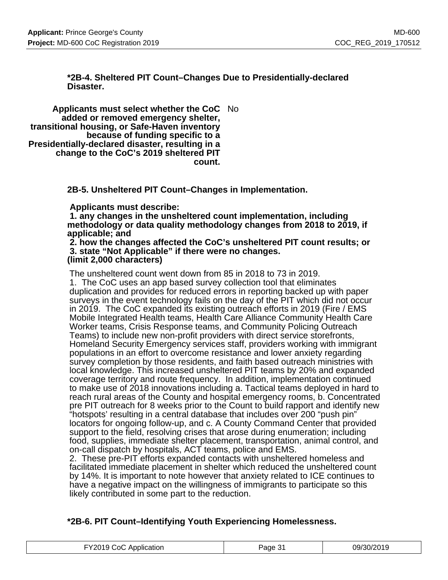### **\*2B-4. Sheltered PIT Count–Changes Due to Presidentially-declared Disaster.**

**Applicants must select whether the CoC** No **added or removed emergency shelter, transitional housing, or Safe-Haven inventory because of funding specific to a Presidentially-declared disaster, resulting in a change to the CoC's 2019 sheltered PIT count.**

**2B-5. Unsheltered PIT Count–Changes in Implementation.**

 **Applicants must describe:**

 **1. any changes in the unsheltered count implementation, including methodology or data quality methodology changes from 2018 to 2019, if applicable; and**

 **2. how the changes affected the CoC's unsheltered PIT count results; or 3. state "Not Applicable" if there were no changes. (limit 2,000 characters)**

The unsheltered count went down from 85 in 2018 to 73 in 2019.

1. The CoC uses an app based survey collection tool that eliminates duplication and provides for reduced errors in reporting backed up with paper surveys in the event technology fails on the day of the PIT which did not occur in 2019. The CoC expanded its existing outreach efforts in 2019 (Fire / EMS Mobile Integrated Health teams, Health Care Alliance Community Health Care Worker teams, Crisis Response teams, and Community Policing Outreach Teams) to include new non-profit providers with direct service storefronts, Homeland Security Emergency services staff, providers working with immigrant populations in an effort to overcome resistance and lower anxiety regarding survey completion by those residents, and faith based outreach ministries with local knowledge. This increased unsheltered PIT teams by 20% and expanded coverage territory and route frequency. In addition, implementation continued to make use of 2018 innovations including a. Tactical teams deployed in hard to reach rural areas of the County and hospital emergency rooms, b. Concentrated pre PIT outreach for 8 weeks prior to the Count to build rapport and identify new "hotspots' resulting in a central database that includes over 200 "push pin" locators for ongoing follow-up, and c. A County Command Center that provided support to the field, resolving crises that arose during enumeration; including food, supplies, immediate shelter placement, transportation, animal control, and on-call dispatch by hospitals, ACT teams, police and EMS.

2. These pre-PIT efforts expanded contacts with unsheltered homeless and facilitated immediate placement in shelter which reduced the unsheltered count by 14%. It is important to note however that anxiety related to ICE continues to have a negative impact on the willingness of immigrants to participate so this likely contributed in some part to the reduction.

### **\*2B-6. PIT Count–Identifying Youth Experiencing Homelessness.**

| FY2019 CoC Application | Page 31 | 09/30/2019 |
|------------------------|---------|------------|
|------------------------|---------|------------|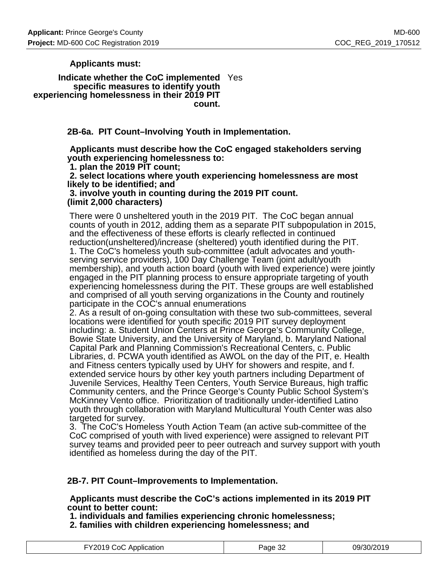**Applicants must:**

**Indicate whether the CoC implemented** Yes **specific measures to identify youth experiencing homelessness in their 2019 PIT count.**

**2B-6a. PIT Count–Involving Youth in Implementation.**

 **Applicants must describe how the CoC engaged stakeholders serving youth experiencing homelessness to:**

 **1. plan the 2019 PIT count; 2. select locations where youth experiencing homelessness are most likely to be identified; and 3. involve youth in counting during the 2019 PIT count.**

**(limit 2,000 characters)**

There were 0 unsheltered youth in the 2019 PIT. The CoC began annual counts of youth in 2012, adding them as a separate PIT subpopulation in 2015, and the effectiveness of these efforts is clearly reflected in continued reduction(unsheltered)/increase (sheltered) youth identified during the PIT. 1. The CoC's homeless youth sub-committee (adult advocates and youthserving service providers), 100 Day Challenge Team (joint adult/youth membership), and youth action board (youth with lived experience) were jointly engaged in the PIT planning process to ensure appropriate targeting of youth experiencing homelessness during the PIT. These groups are well established and comprised of all youth serving organizations in the County and routinely participate in the COC's annual enumerations

2. As a result of on-going consultation with these two sub-committees, several locations were identified for youth specific 2019 PIT survey deployment including: a. Student Union Centers at Prince George's Community College, Bowie State University, and the University of Maryland, b. Maryland National Capital Park and Planning Commission's Recreational Centers, c. Public Libraries, d. PCWA youth identified as AWOL on the day of the PIT, e. Health and Fitness centers typically used by UHY for showers and respite, and f. extended service hours by other key youth partners including Department of Juvenile Services, Healthy Teen Centers, Youth Service Bureaus, high traffic Community centers, and the Prince George's County Public School System's McKinney Vento office. Prioritization of traditionally under-identified Latino youth through collaboration with Maryland Multicultural Youth Center was also targeted for survey.

3. The CoC's Homeless Youth Action Team (an active sub-committee of the CoC comprised of youth with lived experience) were assigned to relevant PIT survey teams and provided peer to peer outreach and survey support with youth identified as homeless during the day of the PIT.

### **2B-7. PIT Count–Improvements to Implementation.**

 **Applicants must describe the CoC's actions implemented in its 2019 PIT count to better count:**

 **1. individuals and families experiencing chronic homelessness;**

 **2. families with children experiencing homelessness; and**

| FY2019 CoC Application | Page 32 | 09/30/2019 |
|------------------------|---------|------------|
|------------------------|---------|------------|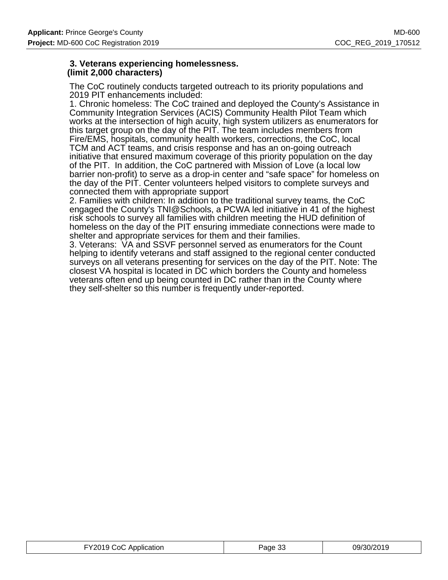#### **3. Veterans experiencing homelessness. (limit 2,000 characters)**

The CoC routinely conducts targeted outreach to its priority populations and 2019 PIT enhancements included:

1. Chronic homeless: The CoC trained and deployed the County's Assistance in Community Integration Services (ACIS) Community Health Pilot Team which works at the intersection of high acuity, high system utilizers as enumerators for this target group on the day of the PIT. The team includes members from Fire/EMS, hospitals, community health workers, corrections, the CoC, local TCM and ACT teams, and crisis response and has an on-going outreach initiative that ensured maximum coverage of this priority population on the day of the PIT. In addition, the CoC partnered with Mission of Love (a local low barrier non-profit) to serve as a drop-in center and "safe space" for homeless on the day of the PIT. Center volunteers helped visitors to complete surveys and connected them with appropriate support

2. Families with children: In addition to the traditional survey teams, the CoC engaged the County's TNI@Schools, a PCWA led initiative in 41 of the highest risk schools to survey all families with children meeting the HUD definition of homeless on the day of the PIT ensuring immediate connections were made to shelter and appropriate services for them and their families.

3. Veterans: VA and SSVF personnel served as enumerators for the Count helping to identify veterans and staff assigned to the regional center conducted surveys on all veterans presenting for services on the day of the PIT. Note: The closest VA hospital is located in DC which borders the County and homeless veterans often end up being counted in DC rather than in the County where they self-shelter so this number is frequently under-reported.

| FY2019 CoC Application | Page 33 | 09/30/2019 |
|------------------------|---------|------------|
|------------------------|---------|------------|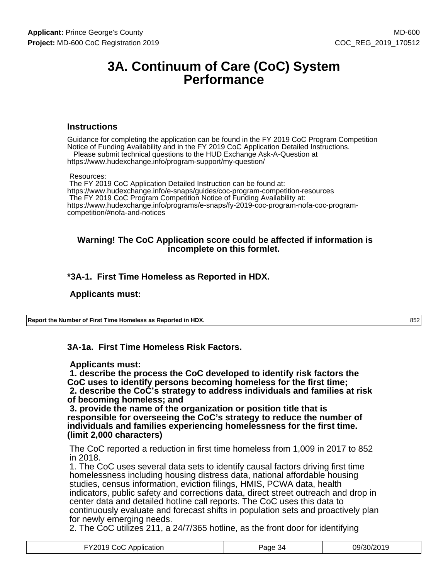## **3A. Continuum of Care (CoC) System Performance**

#### **Instructions**

Guidance for completing the application can be found in the FY 2019 CoC Program Competition Notice of Funding Availability and in the FY 2019 CoC Application Detailed Instructions. Please submit technical questions to the HUD Exchange Ask-A-Question at

https://www.hudexchange.info/program-support/my-question/

#### Resources:

 The FY 2019 CoC Application Detailed Instruction can be found at: https://www.hudexchange.info/e-snaps/guides/coc-program-competition-resources The FY 2019 CoC Program Competition Notice of Funding Availability at: https://www.hudexchange.info/programs/e-snaps/fy-2019-coc-program-nofa-coc-programcompetition/#nofa-and-notices

#### **Warning! The CoC Application score could be affected if information is incomplete on this formlet.**

### **\*3A-1. First Time Homeless as Reported in HDX.**

#### **Applicants must:**

**Report the Number of First Time Homeless as Reported in HDX.** 852

**3A-1a. First Time Homeless Risk Factors.**

#### **Applicants must:**

 **1. describe the process the CoC developed to identify risk factors the CoC uses to identify persons becoming homeless for the first time; 2. describe the CoC's strategy to address individuals and families at risk of becoming homeless; and**

 **3. provide the name of the organization or position title that is responsible for overseeing the CoC's strategy to reduce the number of individuals and families experiencing homelessness for the first time. (limit 2,000 characters)**

The CoC reported a reduction in first time homeless from 1,009 in 2017 to 852 in 2018.

1. The CoC uses several data sets to identify causal factors driving first time homelessness including housing distress data, national affordable housing studies, census information, eviction filings, HMIS, PCWA data, health indicators, public safety and corrections data, direct street outreach and drop in center data and detailed hotline call reports. The CoC uses this data to continuously evaluate and forecast shifts in population sets and proactively plan for newly emerging needs.

2. The CoC utilizes 211, a 24/7/365 hotline, as the front door for identifying

| FY2019 CoC Application | Page 34 | 09/30/2019 |
|------------------------|---------|------------|
|------------------------|---------|------------|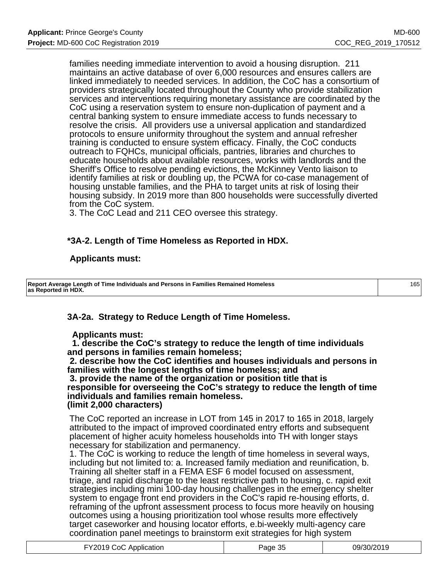families needing immediate intervention to avoid a housing disruption. 211 maintains an active database of over 6,000 resources and ensures callers are linked immediately to needed services. In addition, the CoC has a consortium of providers strategically located throughout the County who provide stabilization services and interventions requiring monetary assistance are coordinated by the CoC using a reservation system to ensure non-duplication of payment and a central banking system to ensure immediate access to funds necessary to resolve the crisis. All providers use a universal application and standardized protocols to ensure uniformity throughout the system and annual refresher training is conducted to ensure system efficacy. Finally, the CoC conducts outreach to FQHCs, municipal officials, pantries, libraries and churches to educate households about available resources, works with landlords and the Sheriff's Office to resolve pending evictions, the McKinney Vento liaison to identify families at risk or doubling up, the PCWA for co-case management of housing unstable families, and the PHA to target units at risk of losing their housing subsidy. In 2019 more than 800 households were successfully diverted from the CoC system.

3. The CoC Lead and 211 CEO oversee this strategy.

### **\*3A-2. Length of Time Homeless as Reported in HDX.**

#### **Applicants must:**

**Report Average Length of Time Individuals and Persons in Families Remained Homeless as Reported in HDX.** 165

### **3A-2a. Strategy to Reduce Length of Time Homeless.**

#### **Applicants must:**

 **1. describe the CoC's strategy to reduce the length of time individuals and persons in families remain homeless;**

 **2. describe how the CoC identifies and houses individuals and persons in families with the longest lengths of time homeless; and**

 **3. provide the name of the organization or position title that is responsible for overseeing the CoC's strategy to reduce the length of time individuals and families remain homeless. (limit 2,000 characters)**

The CoC reported an increase in LOT from 145 in 2017 to 165 in 2018, largely attributed to the impact of improved coordinated entry efforts and subsequent placement of higher acuity homeless households into TH with longer stays necessary for stabilization and permanency.

1. The CoC is working to reduce the length of time homeless in several ways, including but not limited to: a. Increased family mediation and reunification, b. Training all shelter staff in a FEMA ESF 6 model focused on assessment, triage, and rapid discharge to the least restrictive path to housing, c. rapid exit strategies including mini 100-day housing challenges in the emergency shelter system to engage front end providers in the CoC's rapid re-housing efforts, d. reframing of the upfront assessment process to focus more heavily on housing outcomes using a housing prioritization tool whose results more effectively target caseworker and housing locator efforts, e.bi-weekly multi-agency care coordination panel meetings to brainstorm exit strategies for high system

| FY2019 CoC Application | Page 35 | 09/30/2019 |
|------------------------|---------|------------|
|------------------------|---------|------------|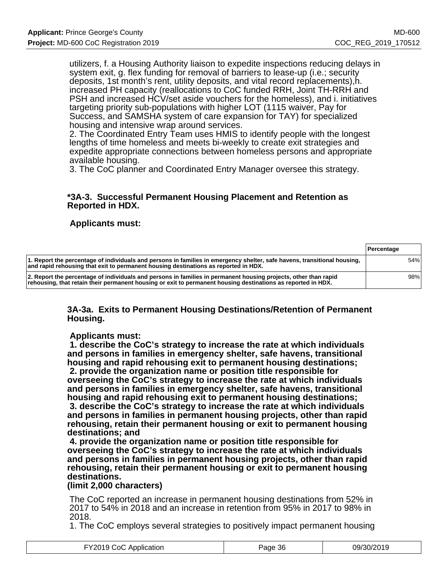utilizers, f. a Housing Authority liaison to expedite inspections reducing delays in system exit, g. flex funding for removal of barriers to lease-up (i.e.; security deposits, 1st month's rent, utility deposits, and vital record replacements),h. increased PH capacity (reallocations to CoC funded RRH, Joint TH-RRH and PSH and increased HCV/set aside vouchers for the homeless), and i. initiatives targeting priority sub-populations with higher LOT (1115 waiver, Pay for Success, and SAMSHA system of care expansion for TAY) for specialized housing and intensive wrap around services.

2. The Coordinated Entry Team uses HMIS to identify people with the longest lengths of time homeless and meets bi-weekly to create exit strategies and expedite appropriate connections between homeless persons and appropriate available housing.

3. The CoC planner and Coordinated Entry Manager oversee this strategy.

#### **\*3A-3. Successful Permanent Housing Placement and Retention as Reported in HDX.**

#### **Applicants must:**

|                                                                                                                                                                                                                                 | <b>Percentage</b> |
|---------------------------------------------------------------------------------------------------------------------------------------------------------------------------------------------------------------------------------|-------------------|
| 1. Report the percentage of individuals and persons in families in emergency shelter, safe havens, transitional housing,<br>and rapid rehousing that exit to permanent housing destinations as reported in HDX.                 | 54%               |
| 2. Report the percentage of individuals and persons in families in permanent housing projects, other than rapid<br>rehousing, that retain their permanent housing or exit to permanent housing destinations as reported in HDX. | 98%               |

#### **3A-3a. Exits to Permanent Housing Destinations/Retention of Permanent Housing.**

#### **Applicants must:**

 **1. describe the CoC's strategy to increase the rate at which individuals and persons in families in emergency shelter, safe havens, transitional housing and rapid rehousing exit to permanent housing destinations; 2. provide the organization name or position title responsible for overseeing the CoC's strategy to increase the rate at which individuals and persons in families in emergency shelter, safe havens, transitional housing and rapid rehousing exit to permanent housing destinations; 3. describe the CoC's strategy to increase the rate at which individuals and persons in families in permanent housing projects, other than rapid**

**rehousing, retain their permanent housing or exit to permanent housing destinations; and**

 **4. provide the organization name or position title responsible for overseeing the CoC's strategy to increase the rate at which individuals and persons in families in permanent housing projects, other than rapid rehousing, retain their permanent housing or exit to permanent housing destinations.**

#### **(limit 2,000 characters)**

The CoC reported an increase in permanent housing destinations from 52% in 2017 to 54% in 2018 and an increase in retention from 95% in 2017 to 98% in 2018.

1. The CoC employs several strategies to positively impact permanent housing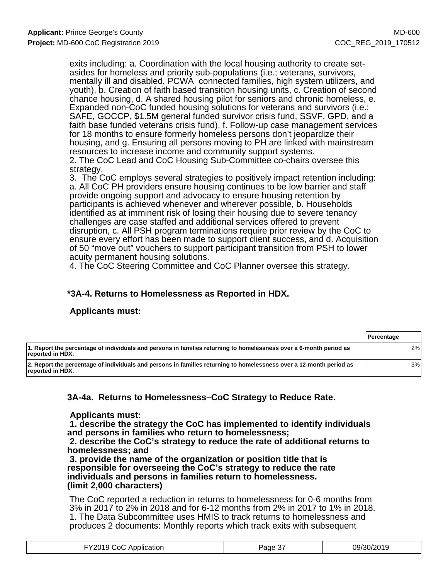exits including: a. Coordination with the local housing authority to create setasides for homeless and priority sub-populations (i.e.; veterans, survivors, mentally ill and disabled, PCWA connected families, high system utilizers, and youth), b. Creation of faith based transition housing units, c. Creation of second chance housing, d. A shared housing pilot for seniors and chronic homeless, e. Expanded non-CoC funded housing solutions for veterans and survivors (i.e.; SAFE, GOCCP, \$1.5M general funded survivor crisis fund, SSVF, GPD, and a faith base funded veterans crisis fund), f. Follow-up case management services for 18 months to ensure formerly homeless persons don't jeopardize their housing, and g. Ensuring all persons moving to PH are linked with mainstream resources to increase income and community support systems.

2. The CoC Lead and CoC Housing Sub-Committee co-chairs oversee this strategy.

3. The CoC employs several strategies to positively impact retention including: a. All CoC PH providers ensure housing continues to be low barrier and staff provide ongoing support and advocacy to ensure housing retention by participants is achieved whenever and wherever possible, b. Households identified as at imminent risk of losing their housing due to severe tenancy challenges are case staffed and additional services offered to prevent disruption, c. All PSH program terminations require prior review by the CoC to ensure every effort has been made to support client success, and d. Acquisition of 50 "move out" vouchers to support participant transition from PSH to lower acuity permanent housing solutions.

4. The CoC Steering Committee and CoC Planner oversee this strategy.

## **\*3A-4. Returns to Homelessness as Reported in HDX.**

### **Applicants must:**

|                                                                                                                                         | <b>Percentage</b> |
|-----------------------------------------------------------------------------------------------------------------------------------------|-------------------|
| 1. Report the percentage of individuals and persons in families returning to homelessness over a 6-month period as<br>reported in HDX.  | 2%                |
| 2. Report the percentage of individuals and persons in families returning to homelessness over a 12-month period as<br>reported in HDX. | 3%                |

### **3A-4a. Returns to Homelessness–CoC Strategy to Reduce Rate.**

 **Applicants must:**

 **1. describe the strategy the CoC has implemented to identify individuals and persons in families who return to homelessness;**

 **2. describe the CoC's strategy to reduce the rate of additional returns to homelessness; and**

 **3. provide the name of the organization or position title that is responsible for overseeing the CoC's strategy to reduce the rate individuals and persons in families return to homelessness. (limit 2,000 characters)**

The CoC reported a reduction in returns to homelessness for 0-6 months from 3% in 2017 to 2% in 2018 and for 6-12 months from 2% in 2017 to 1% in 2018. 1. The Data Subcommittee uses HMIS to track returns to homelessness and produces 2 documents: Monthly reports which track exits with subsequent

| -Y2019 CoC Application | Page 37 | 09/30/2019 |
|------------------------|---------|------------|
|------------------------|---------|------------|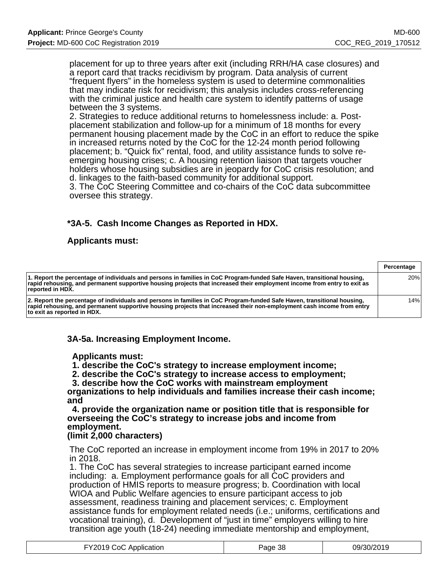placement for up to three years after exit (including RRH/HA case closures) and a report card that tracks recidivism by program. Data analysis of current "frequent flyers" in the homeless system is used to determine commonalities that may indicate risk for recidivism; this analysis includes cross-referencing with the criminal justice and health care system to identify patterns of usage between the 3 systems.

2. Strategies to reduce additional returns to homelessness include: a. Postplacement stabilization and follow-up for a minimum of 18 months for every permanent housing placement made by the CoC in an effort to reduce the spike in increased returns noted by the CoC for the 12-24 month period following placement; b. "Quick fix" rental, food, and utility assistance funds to solve reemerging housing crises; c. A housing retention liaison that targets voucher holders whose housing subsidies are in jeopardy for CoC crisis resolution; and d. linkages to the faith-based community for additional support.

3. The CoC Steering Committee and co-chairs of the CoC data subcommittee oversee this strategy.

### **\*3A-5. Cash Income Changes as Reported in HDX.**

### **Applicants must:**

|                                                                                                                                                                                                                                                                                 | Percentage |
|---------------------------------------------------------------------------------------------------------------------------------------------------------------------------------------------------------------------------------------------------------------------------------|------------|
| 1. Report the percentage of individuals and persons in families in CoC Program-funded Safe Haven, transitional housing,<br>rapid rehousing, and permanent supportive housing projects that increased their employment income from entry to exit as<br>reported in HDX.          | 20%        |
| 2. Report the percentage of individuals and persons in families in CoC Program-funded Safe Haven, transitional housing,<br>rapid rehousing, and permanent supportive housing projects that increased their non-employment cash income from entry<br>to exit as reported in HDX. | 14%        |

### **3A-5a. Increasing Employment Income.**

#### **Applicants must:**

 **1. describe the CoC's strategy to increase employment income;**

 **2. describe the CoC's strategy to increase access to employment;**

 **3. describe how the CoC works with mainstream employment**

**organizations to help individuals and families increase their cash income; and**

 **4. provide the organization name or position title that is responsible for overseeing the CoC's strategy to increase jobs and income from employment.**

### **(limit 2,000 characters)**

The CoC reported an increase in employment income from 19% in 2017 to 20% in 2018.

1. The CoC has several strategies to increase participant earned income including: a. Employment performance goals for all CoC providers and production of HMIS reports to measure progress; b. Coordination with local WIOA and Public Welfare agencies to ensure participant access to job assessment, readiness training and placement services; c. Employment assistance funds for employment related needs (i.e.; uniforms, certifications and vocational training), d. Development of "just in time" employers willing to hire transition age youth (18-24) needing immediate mentorship and employment,

| FY2019 CoC Application | Page 38 | 09/30/2019 |
|------------------------|---------|------------|
|------------------------|---------|------------|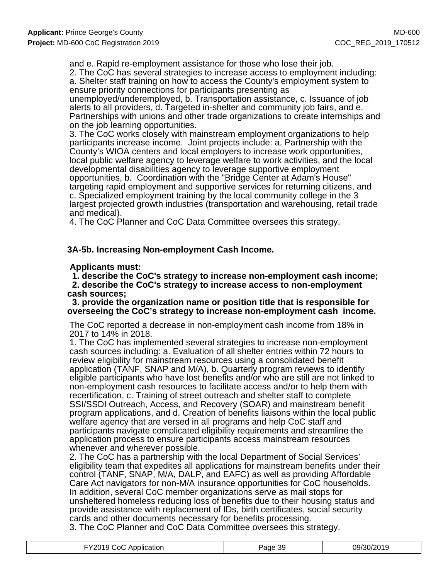and e. Rapid re-employment assistance for those who lose their job.

2. The CoC has several strategies to increase access to employment including:

a. Shelter staff training on how to access the County's employment system to ensure priority connections for participants presenting as unemployed/underemployed, b. Transportation assistance, c. Issuance of job

alerts to all providers, d. Targeted in-shelter and community job fairs, and e. Partnerships with unions and other trade organizations to create internships and on the job learning opportunities.

3. The CoC works closely with mainstream employment organizations to help participants increase income. Joint projects include: a. Partnership with the County's WIOA centers and local employers to increase work opportunities, local public welfare agency to leverage welfare to work activities, and the local developmental disabilities agency to leverage supportive employment opportunities, b. Coordination with the "Bridge Center at Adam's House" targeting rapid employment and supportive services for returning citizens, and c. Specialized employment training by the local community college in the 3 largest projected growth industries (transportation and warehousing, retail trade and medical).

4. The CoC Planner and CoC Data Committee oversees this strategy.

**3A-5b. Increasing Non-employment Cash Income.**

#### **Applicants must:**

 **1. describe the CoC's strategy to increase non-employment cash income; 2. describe the CoC's strategy to increase access to non-employment cash sources;**

 **3. provide the organization name or position title that is responsible for overseeing the CoC's strategy to increase non-employment cash income.**

The CoC reported a decrease in non-employment cash income from 18% in 2017 to 14% in 2018.

1. The CoC has implemented several strategies to increase non-employment cash sources including: a. Evaluation of all shelter entries within 72 hours to review eligibility for mainstream resources using a consolidated benefit application (TANF, SNAP and M/A), b. Quarterly program reviews to identify eligible participants who have lost benefits and/or who are still are not linked to non-employment cash resources to facilitate access and/or to help them with recertification, c. Training of street outreach and shelter staff to complete SSI/SSDI Outreach, Access, and Recovery (SOAR) and mainstream benefit program applications, and d. Creation of benefits liaisons within the local public welfare agency that are versed in all programs and help CoC staff and participants navigate complicated eligibility requirements and streamline the application process to ensure participants access mainstream resources whenever and wherever possible.

2. The CoC has a partnership with the local Department of Social Services' eligibility team that expedites all applications for mainstream benefits under their control (TANF, SNAP, M/A, DALP, and EAFC) as well as providing Affordable Care Act navigators for non-M/A insurance opportunities for CoC households. In addition, several CoC member organizations serve as mail stops for unsheltered homeless reducing loss of benefits due to their housing status and provide assistance with replacement of IDs, birth certificates, social security cards and other documents necessary for benefits processing. 3. The CoC Planner and CoC Data Committee oversees this strategy.

| FY2019 CoC Application | Page 39 | 09/30/2019 |
|------------------------|---------|------------|
|------------------------|---------|------------|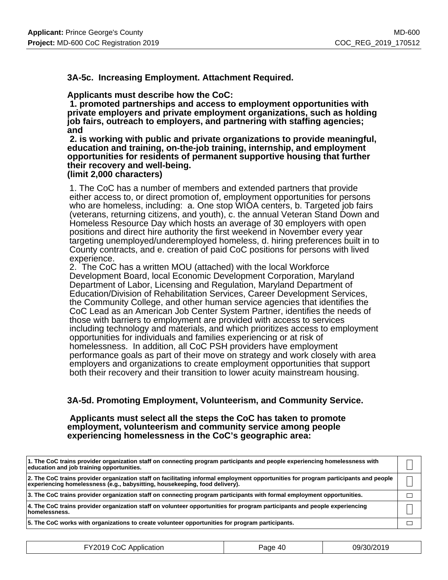**3A-5c. Increasing Employment. Attachment Required.**

#### **Applicants must describe how the CoC:**

 **1. promoted partnerships and access to employment opportunities with private employers and private employment organizations, such as holding job fairs, outreach to employers, and partnering with staffing agencies; and**

 **2. is working with public and private organizations to provide meaningful, education and training, on-the-job training, internship, and employment opportunities for residents of permanent supportive housing that further their recovery and well-being.**

#### **(limit 2,000 characters)**

1. The CoC has a number of members and extended partners that provide either access to, or direct promotion of, employment opportunities for persons who are homeless, including: a. One stop WIOA centers, b. Targeted job fairs (veterans, returning citizens, and youth), c. the annual Veteran Stand Down and Homeless Resource Day which hosts an average of 30 employers with open positions and direct hire authority the first weekend in November every year targeting unemployed/underemployed homeless, d. hiring preferences built in to County contracts, and e. creation of paid CoC positions for persons with lived experience.

2. The CoC has a written MOU (attached) with the local Workforce Development Board, local Economic Development Corporation, Maryland Department of Labor, Licensing and Regulation, Maryland Department of Education/Division of Rehabilitation Services, Career Development Services, the Community College, and other human service agencies that identifies the CoC Lead as an American Job Center System Partner, identifies the needs of those with barriers to employment are provided with access to services including technology and materials, and which prioritizes access to employment opportunities for individuals and families experiencing or at risk of homelessness. In addition, all CoC PSH providers have employment performance goals as part of their move on strategy and work closely with area employers and organizations to create employment opportunities that support both their recovery and their transition to lower acuity mainstream housing.

### **3A-5d. Promoting Employment, Volunteerism, and Community Service.**

#### **Applicants must select all the steps the CoC has taken to promote employment, volunteerism and community service among people experiencing homelessness in the CoC's geographic area:**

| 1. The CoC trains provider organization staff on connecting program participants and people experiencing homelessness with<br>education and job training opportunities.                                            |  |
|--------------------------------------------------------------------------------------------------------------------------------------------------------------------------------------------------------------------|--|
| 2. The CoC trains provider organization staff on facilitating informal employment opportunities for program participants and people<br>experiencing homelessness (e.g., babysitting, housekeeping, food delivery). |  |
| 3. The CoC trains provider organization staff on connecting program participants with formal employment opportunities.                                                                                             |  |
| 4. The CoC trains provider organization staff on volunteer opportunities for program participants and people experiencing<br>homelessness.                                                                         |  |
| 5. The CoC works with organizations to create volunteer opportunities for program participants.                                                                                                                    |  |

| FY2019 CoC Application | Page 40 | 09/30/2019 |
|------------------------|---------|------------|
|------------------------|---------|------------|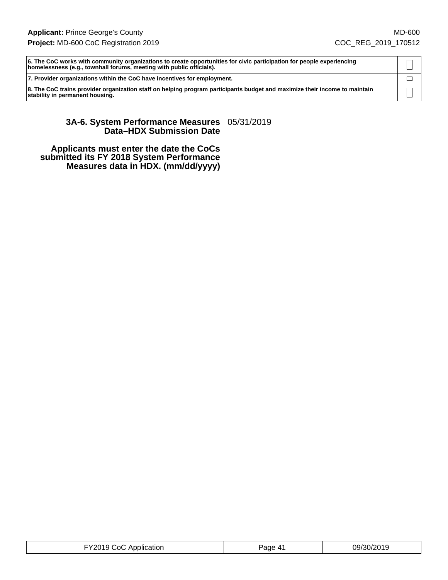**6. The CoC works with community organizations to create opportunities for civic participation for people experiencing**  $\mathsf{I}$ **homelessness (e.g., townhall forums, meeting with public officials). 7. Provider organizations within the CoC have incentives for employment.**  $\Box$ **8. The CoC trains provider organization staff on helping program participants budget and maximize their income to maintain** П **stability in permanent housing.**

#### **3A-6. System Performance Measures** 05/31/2019 **Data–HDX Submission Date**

 **Applicants must enter the date the CoCs submitted its FY 2018 System Performance Measures data in HDX. (mm/dd/yyyy)**

| 09/30/2019<br>-Y2019 CoC Application<br>Page 41 |
|-------------------------------------------------|
|-------------------------------------------------|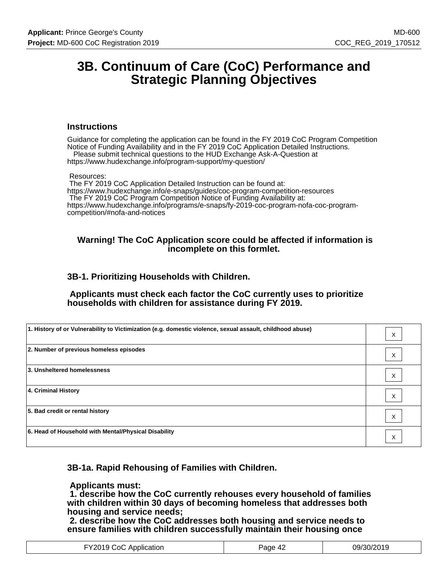# **3B. Continuum of Care (CoC) Performance and Strategic Planning Objectives**

#### **Instructions**

Guidance for completing the application can be found in the FY 2019 CoC Program Competition Notice of Funding Availability and in the FY 2019 CoC Application Detailed Instructions. Please submit technical questions to the HUD Exchange Ask-A-Question at

https://www.hudexchange.info/program-support/my-question/

#### Resources:

 The FY 2019 CoC Application Detailed Instruction can be found at: https://www.hudexchange.info/e-snaps/guides/coc-program-competition-resources The FY 2019 CoC Program Competition Notice of Funding Availability at: https://www.hudexchange.info/programs/e-snaps/fy-2019-coc-program-nofa-coc-programcompetition/#nofa-and-notices

#### **Warning! The CoC Application score could be affected if information is incomplete on this formlet.**

### **3B-1. Prioritizing Households with Children.**

 **Applicants must check each factor the CoC currently uses to prioritize households with children for assistance during FY 2019.**

| 1. History of or Vulnerability to Victimization (e.g. domestic violence, sexual assault, childhood abuse) | $\times$ |
|-----------------------------------------------------------------------------------------------------------|----------|
| 2. Number of previous homeless episodes                                                                   | X        |
| 3. Unsheltered homelessness                                                                               | X        |
| 4. Criminal History                                                                                       | X        |
| 5. Bad credit or rental history                                                                           | X        |
| 6. Head of Household with Mental/Physical Disability                                                      | X        |

### **3B-1a. Rapid Rehousing of Families with Children.**

#### **Applicants must:**

 **1. describe how the CoC currently rehouses every household of families with children within 30 days of becoming homeless that addresses both housing and service needs;**

 **2. describe how the CoC addresses both housing and service needs to ensure families with children successfully maintain their housing once**

| FY2019 CoC Application | Page 42 | 09/30/2019 |
|------------------------|---------|------------|
|------------------------|---------|------------|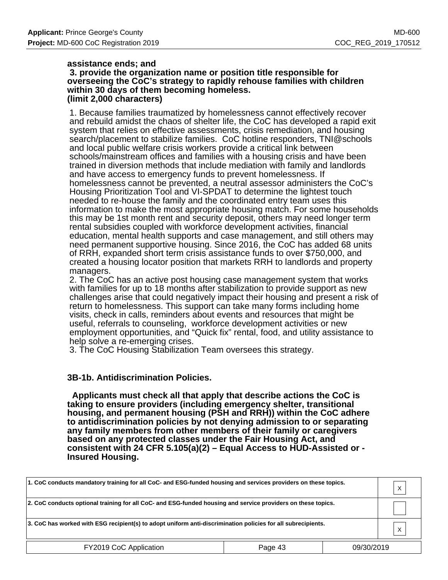#### **assistance ends; and 3. provide the organization name or position title responsible for overseeing the CoC's strategy to rapidly rehouse families with children within 30 days of them becoming homeless. (limit 2,000 characters)**

1. Because families traumatized by homelessness cannot effectively recover and rebuild amidst the chaos of shelter life, the CoC has developed a rapid exit system that relies on effective assessments, crisis remediation, and housing search/placement to stabilize families. CoC hotline responders, TNI@schools and local public welfare crisis workers provide a critical link between schools/mainstream offices and families with a housing crisis and have been trained in diversion methods that include mediation with family and landlords and have access to emergency funds to prevent homelessness. If homelessness cannot be prevented, a neutral assessor administers the CoC's Housing Prioritization Tool and VI-SPDAT to determine the lightest touch needed to re-house the family and the coordinated entry team uses this information to make the most appropriate housing match. For some households this may be 1st month rent and security deposit, others may need longer term rental subsidies coupled with workforce development activities, financial education, mental health supports and case management, and still others may need permanent supportive housing. Since 2016, the CoC has added 68 units of RRH, expanded short term crisis assistance funds to over \$750,000, and created a housing locator position that markets RRH to landlords and property managers.

2. The CoC has an active post housing case management system that works with families for up to 18 months after stabilization to provide support as new challenges arise that could negatively impact their housing and present a risk of return to homelessness. This support can take many forms including home visits, check in calls, reminders about events and resources that might be useful, referrals to counseling, workforce development activities or new employment opportunities, and "Quick fix" rental, food, and utility assistance to help solve a re-emerging crises.

3. The CoC Housing Stabilization Team oversees this strategy.

### **3B-1b. Antidiscrimination Policies.**

 **Applicants must check all that apply that describe actions the CoC is taking to ensure providers (including emergency shelter, transitional housing, and permanent housing (PSH and RRH)) within the CoC adhere to antidiscrimination policies by not denying admission to or separating any family members from other members of their family or caregivers based on any protected classes under the Fair Housing Act, and consistent with 24 CFR 5.105(a)(2) – Equal Access to HUD-Assisted or - Insured Housing.**

| 1. CoC conducts mandatory training for all CoC- and ESG-funded housing and services providers on these topics. |         |            | Χ            |
|----------------------------------------------------------------------------------------------------------------|---------|------------|--------------|
| 2. CoC conducts optional training for all CoC- and ESG-funded housing and service providers on these topics.   |         |            |              |
| 3. CoC has worked with ESG recipient(s) to adopt uniform anti-discrimination policies for all subrecipients.   |         |            | $\checkmark$ |
| FY2019 CoC Application                                                                                         | Page 43 | 09/30/2019 |              |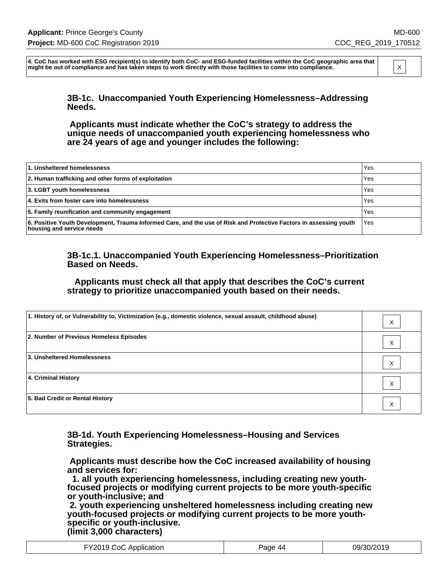**4. CoC has worked with ESG recipient(s) to identify both CoC- and ESG-funded facilities within the CoC geographic area that** might be out of compliance and has taken steps to work directly with those facilities to come into compliance.

> **3B-1c. Unaccompanied Youth Experiencing Homelessness–Addressing Needs.**

> **Applicants must indicate whether the CoC's strategy to address the unique needs of unaccompanied youth experiencing homelessness who are 24 years of age and younger includes the following:**

| 1. Unsheltered homelessness                                                                                                                     | Yes        |
|-------------------------------------------------------------------------------------------------------------------------------------------------|------------|
| 2. Human trafficking and other forms of exploitation                                                                                            | <b>Yes</b> |
| 3. LGBT youth homelessness                                                                                                                      | <b>Yes</b> |
| 4. Exits from foster care into homelessness                                                                                                     | Yes        |
| 5. Family reunification and community engagement                                                                                                | <b>Yes</b> |
| 6. Positive Youth Development, Trauma Informed Care, and the use of Risk and Protective Factors in assessing youth<br>housing and service needs | l Yes      |

#### **3B-1c.1. Unaccompanied Youth Experiencing Homelessness–Prioritization Based on Needs.**

 **Applicants must check all that apply that describes the CoC's current strategy to prioritize unaccompanied youth based on their needs.**

| 1. History of, or Vulnerability to, Victimization (e.g., domestic violence, sexual assault, childhood abuse) | X |
|--------------------------------------------------------------------------------------------------------------|---|
| 2. Number of Previous Homeless Episodes                                                                      | X |
| 3. Unsheltered Homelessness                                                                                  | X |
| 4. Criminal History                                                                                          | X |
| 5. Bad Credit or Rental History                                                                              | X |

**3B-1d. Youth Experiencing Homelessness–Housing and Services Strategies.**

 **Applicants must describe how the CoC increased availability of housing and services for:**

 **1. all youth experiencing homelessness, including creating new youthfocused projects or modifying current projects to be more youth-specific or youth-inclusive; and**

 **2. youth experiencing unsheltered homelessness including creating new youth-focused projects or modifying current projects to be more youthspecific or youth-inclusive. (limit 3,000 characters)**

| FY2019 CoC Application | Page 44 | 09/30/2019 |
|------------------------|---------|------------|
|------------------------|---------|------------|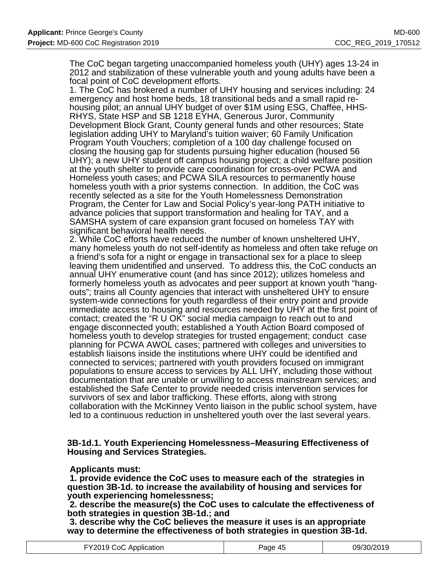The CoC began targeting unaccompanied homeless youth (UHY) ages 13-24 in 2012 and stabilization of these vulnerable youth and young adults have been a focal point of CoC development efforts.

1. The CoC has brokered a number of UHY housing and services including: 24 emergency and host home beds, 18 transitional beds and a small rapid rehousing pilot; an annual UHY budget of over \$1M using ESG, Chaffee, HHS-RHYS, State HSP and SB 1218 EYHA, Generous Juror, Community Development Block Grant, County general funds and other resources; State legislation adding UHY to Maryland's tuition waiver; 60 Family Unification Program Youth Vouchers; completion of a 100 day challenge focused on closing the housing gap for students pursuing higher education (housed 56 UHY); a new UHY student off campus housing project; a child welfare position at the youth shelter to provide care coordination for cross-over PCWA and Homeless youth cases; and PCWA SILA resources to permanently house homeless youth with a prior systems connection. In addition, the CoC was recently selected as a site for the Youth Homelessness Demonstration Program, the Center for Law and Social Policy's year-long PATH initiative to advance policies that support transformation and healing for TAY, and a SAMSHA system of care expansion grant focused on homeless TAY with significant behavioral health needs.

2. While CoC efforts have reduced the number of known unsheltered UHY, many homeless youth do not self-identify as homeless and often take refuge on a friend's sofa for a night or engage in transactional sex for a place to sleep leaving them unidentified and unserved. To address this, the CoC conducts an annual UHY enumerative count (and has since 2012); utilizes homeless and formerly homeless youth as advocates and peer support at known youth "hangouts"; trains all County agencies that interact with unsheltered UHY to ensure system-wide connections for youth regardless of their entry point and provide immediate access to housing and resources needed by UHY at the first point of contact; created the "R U OK" social media campaign to reach out to and engage disconnected youth; established a Youth Action Board composed of homeless youth to develop strategies for trusted engagement; conduct case planning for PCWA AWOL cases; partnered with colleges and universities to establish liaisons inside the institutions where UHY could be identified and connected to services; partnered with youth providers focused on immigrant populations to ensure access to services by ALL UHY, including those without documentation that are unable or unwilling to access mainstream services; and established the Safe Center to provide needed crisis intervention services for survivors of sex and labor trafficking. These efforts, along with strong collaboration with the McKinney Vento liaison in the public school system, have led to a continuous reduction in unsheltered youth over the last several years.

#### **3B-1d.1. Youth Experiencing Homelessness–Measuring Effectiveness of Housing and Services Strategies.**

#### **Applicants must:**

 **1. provide evidence the CoC uses to measure each of the strategies in question 3B-1d. to increase the availability of housing and services for youth experiencing homelessness;**

 **2. describe the measure(s) the CoC uses to calculate the effectiveness of both strategies in question 3B-1d.; and**

 **3. describe why the CoC believes the measure it uses is an appropriate way to determine the effectiveness of both strategies in question 3B-1d.**

| FY2019 CoC Application | Page 45 | 09/30/2019 |
|------------------------|---------|------------|
|------------------------|---------|------------|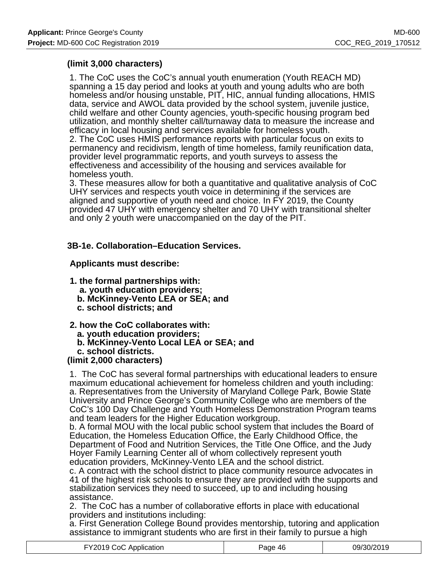### **(limit 3,000 characters)**

1. The CoC uses the CoC's annual youth enumeration (Youth REACH MD) spanning a 15 day period and looks at youth and young adults who are both homeless and/or housing unstable, PIT, HIC, annual funding allocations, HMIS data, service and AWOL data provided by the school system, juvenile justice, child welfare and other County agencies, youth-specific housing program bed utilization, and monthly shelter call/turnaway data to measure the increase and efficacy in local housing and services available for homeless youth. 2. The CoC uses HMIS performance reports with particular focus on exits to permanency and recidivism, length of time homeless, family reunification data, provider level programmatic reports, and youth surveys to assess the effectiveness and accessibility of the housing and services available for homeless youth.

3. These measures allow for both a quantitative and qualitative analysis of CoC UHY services and respects youth voice in determining if the services are aligned and supportive of youth need and choice. In FY 2019, the County provided 47 UHY with emergency shelter and 70 UHY with transitional shelter and only 2 youth were unaccompanied on the day of the PIT.

### **3B-1e. Collaboration–Education Services.**

### **Applicants must describe:**

- **1. the formal partnerships with:**
	- **a. youth education providers;**
	- **b. McKinney-Vento LEA or SEA; and**
	- **c. school districts; and**
- **2. how the CoC collaborates with:**
	- **a. youth education providers;**
	- **b. McKinney-Vento Local LEA or SEA; and**
	- **c. school districts.**

### **(limit 2,000 characters)**

1. The CoC has several formal partnerships with educational leaders to ensure maximum educational achievement for homeless children and youth including: a. Representatives from the University of Maryland College Park, Bowie State University and Prince George's Community College who are members of the CoC's 100 Day Challenge and Youth Homeless Demonstration Program teams and team leaders for the Higher Education workgroup.

b. A formal MOU with the local public school system that includes the Board of Education, the Homeless Education Office, the Early Childhood Office, the Department of Food and Nutrition Services, the Title One Office, and the Judy Hoyer Family Learning Center all of whom collectively represent youth education providers, McKinney-Vento LEA and the school district.

c. A contract with the school district to place community resource advocates in 41 of the highest risk schools to ensure they are provided with the supports and stabilization services they need to succeed, up to and including housing assistance.

2. The CoC has a number of collaborative efforts in place with educational providers and institutions including:

a. First Generation College Bound provides mentorship, tutoring and application assistance to immigrant students who are first in their family to pursue a high

| FY2019 CoC Application | Page 46 | 09/30/2019 |
|------------------------|---------|------------|
|                        |         |            |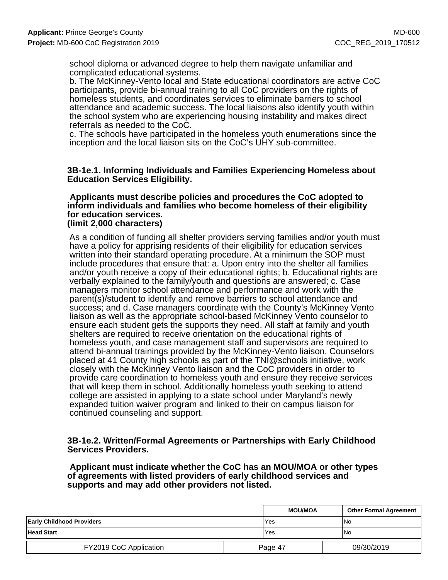school diploma or advanced degree to help them navigate unfamiliar and complicated educational systems.

b. The McKinney-Vento local and State educational coordinators are active CoC participants, provide bi-annual training to all CoC providers on the rights of homeless students, and coordinates services to eliminate barriers to school attendance and academic success. The local liaisons also identify youth within the school system who are experiencing housing instability and makes direct referrals as needed to the CoC.

c. The schools have participated in the homeless youth enumerations since the inception and the local liaison sits on the CoC's UHY sub-committee.

#### **3B-1e.1. Informing Individuals and Families Experiencing Homeless about Education Services Eligibility.**

#### **Applicants must describe policies and procedures the CoC adopted to inform individuals and families who become homeless of their eligibility for education services. (limit 2,000 characters)**

As a condition of funding all shelter providers serving families and/or youth must have a policy for apprising residents of their eligibility for education services written into their standard operating procedure. At a minimum the SOP must include procedures that ensure that: a. Upon entry into the shelter all families and/or youth receive a copy of their educational rights; b. Educational rights are verbally explained to the family/youth and questions are answered; c. Case managers monitor school attendance and performance and work with the parent(s)/student to identify and remove barriers to school attendance and success; and d. Case managers coordinate with the County's McKinney Vento liaison as well as the appropriate school-based McKinney Vento counselor to ensure each student gets the supports they need. All staff at family and youth shelters are required to receive orientation on the educational rights of homeless youth, and case management staff and supervisors are required to attend bi-annual trainings provided by the McKinney-Vento liaison. Counselors placed at 41 County high schools as part of the TNI@schools initiative, work closely with the McKinney Vento liaison and the CoC providers in order to provide care coordination to homeless youth and ensure they receive services that will keep them in school. Additionally homeless youth seeking to attend college are assisted in applying to a state school under Maryland's newly expanded tuition waiver program and linked to their on campus liaison for continued counseling and support.

#### **3B-1e.2. Written/Formal Agreements or Partnerships with Early Childhood Services Providers.**

 **Applicant must indicate whether the CoC has an MOU/MOA or other types of agreements with listed providers of early childhood services and supports and may add other providers not listed.**

|                                  |  | <b>MOU/MOA</b> | <b>Other Formal Agreement</b> |
|----------------------------------|--|----------------|-------------------------------|
| <b>Early Childhood Providers</b> |  | Yes            | l No                          |
| <b>Head Start</b>                |  | Yes            | <b>No</b>                     |
| FY2019 CoC Application           |  | Page 47        | 09/30/2019                    |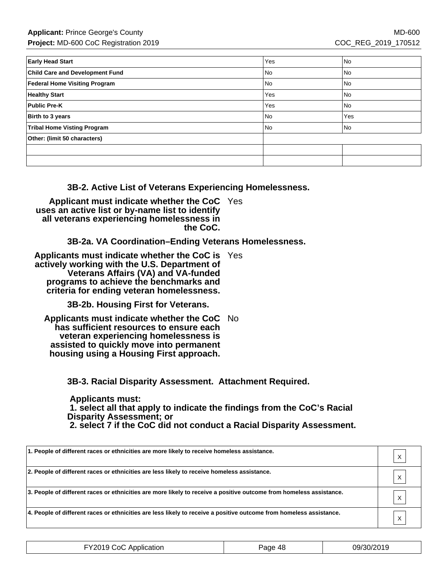| <b>Early Head Start</b>                | Yes | No   |
|----------------------------------------|-----|------|
| <b>Child Care and Development Fund</b> | No  | No   |
| Federal Home Visiting Program          | No. | l No |
| <b>Healthy Start</b>                   | Yes | l No |
| <b>Public Pre-K</b>                    | Yes | l No |
| Birth to 3 years                       | No  | Yes  |
| <b>Tribal Home Visting Program</b>     | No  | No   |
| Other: (limit 50 characters)           |     |      |
|                                        |     |      |
|                                        |     |      |

**3B-2. Active List of Veterans Experiencing Homelessness.**

**Applicant must indicate whether the CoC** Yes **uses an active list or by-name list to identify all veterans experiencing homelessness in the CoC.**

**3B-2a. VA Coordination–Ending Veterans Homelessness.**

**Applicants must indicate whether the CoC is** Yes **actively working with the U.S. Department of Veterans Affairs (VA) and VA-funded programs to achieve the benchmarks and criteria for ending veteran homelessness.**

**3B-2b. Housing First for Veterans.**

**Applicants must indicate whether the CoC** No **has sufficient resources to ensure each veteran experiencing homelessness is assisted to quickly move into permanent housing using a Housing First approach.**

**3B-3. Racial Disparity Assessment. Attachment Required.**

 **Applicants must: 1. select all that apply to indicate the findings from the CoC's Racial Disparity Assessment; or 2. select 7 if the CoC did not conduct a Racial Disparity Assessment.**

| 1. People of different races or ethnicities are more likely to receive homeless assistance.                         |   |
|---------------------------------------------------------------------------------------------------------------------|---|
| 2. People of different races or ethnicities are less likely to receive homeless assistance.                         |   |
| 3. People of different races or ethnicities are more likely to receive a positive outcome from homeless assistance. | X |
| 4. People of different races or ethnicities are less likely to receive a positive outcome from homeless assistance. |   |

| FY2019 CoC Application | Page 48 | 09/30/2019 |
|------------------------|---------|------------|
|------------------------|---------|------------|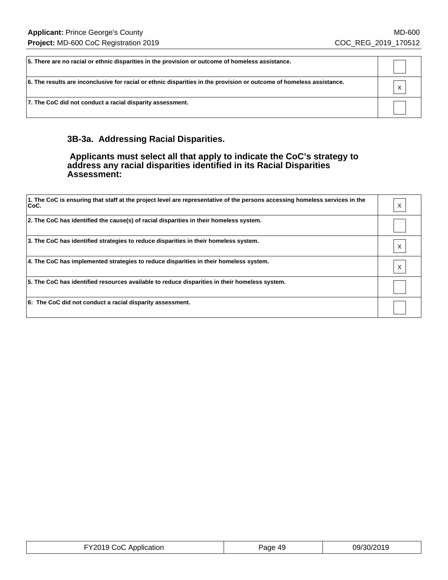| 5. There are no racial or ethnic disparities in the provision or outcome of homeless assistance.                     |   |
|----------------------------------------------------------------------------------------------------------------------|---|
| 6. The results are inconclusive for racial or ethnic disparities in the provision or outcome of homeless assistance. | X |
| 7. The CoC did not conduct a racial disparity assessment.                                                            |   |

## **3B-3a. Addressing Racial Disparities.**

#### **Applicants must select all that apply to indicate the CoC's strategy to address any racial disparities identified in its Racial Disparities Assessment:**

| 1. The CoC is ensuring that staff at the project level are representative of the persons accessing homeless services in the<br>∣CoC. |  |
|--------------------------------------------------------------------------------------------------------------------------------------|--|
| 2. The CoC has identified the cause(s) of racial disparities in their homeless system.                                               |  |
| 3. The CoC has identified strategies to reduce disparities in their homeless system.                                                 |  |
| 4. The CoC has implemented strategies to reduce disparities in their homeless system.                                                |  |
| 5. The CoC has identified resources available to reduce disparities in their homeless system.                                        |  |
| 6: The CoC did not conduct a racial disparity assessment.                                                                            |  |

| FY2019 CoC Application | Page 49 | 09/30/2019 |
|------------------------|---------|------------|
|------------------------|---------|------------|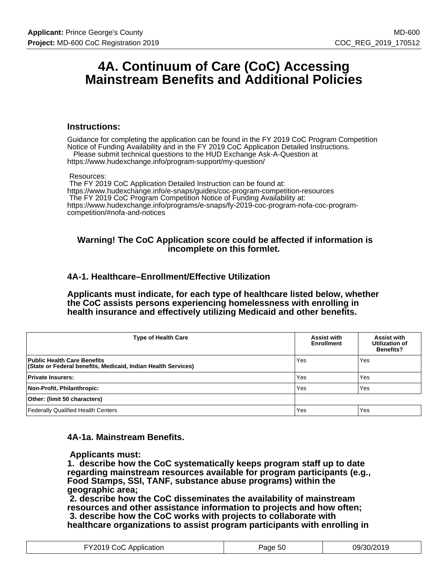## **4A. Continuum of Care (CoC) Accessing Mainstream Benefits and Additional Policies**

#### **Instructions:**

Guidance for completing the application can be found in the FY 2019 CoC Program Competition Notice of Funding Availability and in the FY 2019 CoC Application Detailed Instructions. Please submit technical questions to the HUD Exchange Ask-A-Question at

https://www.hudexchange.info/program-support/my-question/

#### Resources:

 The FY 2019 CoC Application Detailed Instruction can be found at: https://www.hudexchange.info/e-snaps/guides/coc-program-competition-resources The FY 2019 CoC Program Competition Notice of Funding Availability at: https://www.hudexchange.info/programs/e-snaps/fy-2019-coc-program-nofa-coc-programcompetition/#nofa-and-notices

#### **Warning! The CoC Application score could be affected if information is incomplete on this formlet.**

#### **4A-1. Healthcare–Enrollment/Effective Utilization**

**Applicants must indicate, for each type of healthcare listed below, whether the CoC assists persons experiencing homelessness with enrolling in health insurance and effectively utilizing Medicaid and other benefits.**

| <b>Type of Health Care</b>                                                                          | <b>Assist with</b><br><b>Enrollment</b> | <b>Assist with</b><br>Utilization of<br><b>Benefits?</b> |
|-----------------------------------------------------------------------------------------------------|-----------------------------------------|----------------------------------------------------------|
| <b>Public Health Care Benefits</b><br>(State or Federal benefits, Medicaid, Indian Health Services) | Yes                                     | Yes                                                      |
| <b>Private Insurers:</b>                                                                            | Yes                                     | Yes                                                      |
| Non-Profit, Philanthropic:                                                                          | Yes                                     | Yes                                                      |
| Other: (limit 50 characters)                                                                        |                                         |                                                          |
| <b>Federally Qualified Health Centers</b>                                                           | Yes                                     | Yes                                                      |

#### **4A-1a. Mainstream Benefits.**

 **Applicants must:**

**1. describe how the CoC systematically keeps program staff up to date regarding mainstream resources available for program participants (e.g., Food Stamps, SSI, TANF, substance abuse programs) within the geographic area;**

 **2. describe how the CoC disseminates the availability of mainstream resources and other assistance information to projects and how often; 3. describe how the CoC works with projects to collaborate with healthcare organizations to assist program participants with enrolling in**

| FY2019 CoC Application | Page 50 | 09/30/2019 |
|------------------------|---------|------------|
|------------------------|---------|------------|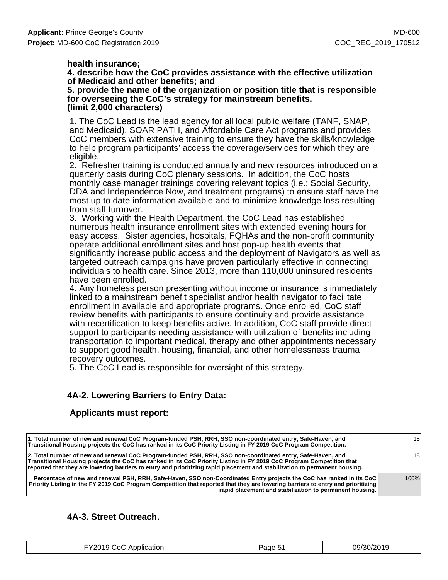#### **health insurance;**

**4. describe how the CoC provides assistance with the effective utilization of Medicaid and other benefits; and**

**5. provide the name of the organization or position title that is responsible for overseeing the CoC's strategy for mainstream benefits. (limit 2,000 characters)**

1. The CoC Lead is the lead agency for all local public welfare (TANF, SNAP, and Medicaid), SOAR PATH, and Affordable Care Act programs and provides CoC members with extensive training to ensure they have the skills/knowledge to help program participants' access the coverage/services for which they are eligible.

2. Refresher training is conducted annually and new resources introduced on a quarterly basis during CoC plenary sessions. In addition, the CoC hosts monthly case manager trainings covering relevant topics (i.e.; Social Security, DDA and Independence Now, and treatment programs) to ensure staff have the most up to date information available and to minimize knowledge loss resulting from staff turnover.

3. Working with the Health Department, the CoC Lead has established numerous health insurance enrollment sites with extended evening hours for easy access. Sister agencies, hospitals, FQHAs and the non-profit community operate additional enrollment sites and host pop-up health events that significantly increase public access and the deployment of Navigators as well as targeted outreach campaigns have proven particularly effective in connecting individuals to health care. Since 2013, more than 110,000 uninsured residents have been enrolled.

4. Any homeless person presenting without income or insurance is immediately linked to a mainstream benefit specialist and/or health navigator to facilitate enrollment in available and appropriate programs. Once enrolled, CoC staff review benefits with participants to ensure continuity and provide assistance with recertification to keep benefits active. In addition, CoC staff provide direct support to participants needing assistance with utilization of benefits including transportation to important medical, therapy and other appointments necessary to support good health, housing, financial, and other homelessness trauma recovery outcomes.

5. The CoC Lead is responsible for oversight of this strategy.

### **4A-2. Lowering Barriers to Entry Data:**

### **Applicants must report:**

| Percentage of new and renewal PSH, RRH, Safe-Haven, SSO non-Coordinated Entry projects the CoC has ranked in its CoC<br>Priority Listing in the FY 2019 CoC Program Competition that reported that they are lowering barriers to entry and prioritizing<br>rapid placement and stabilization to permanent housing.                                               | 100% |
|------------------------------------------------------------------------------------------------------------------------------------------------------------------------------------------------------------------------------------------------------------------------------------------------------------------------------------------------------------------|------|
| 2. Total number of new and renewal CoC Program-funded PSH, RRH, SSO non-coordinated entry, Safe-Haven, and<br>Transitional Housing projects the CoC has ranked in its CoC Priority Listing in FY 2019 CoC Program Competition that<br>reported that they are lowering barriers to entry and prioritizing rapid placement and stabilization to permanent housing. | 181  |
| 1. Total number of new and renewal CoC Program-funded PSH, RRH, SSO non-coordinated entry, Safe-Haven, and<br>Transitional Housing projects the CoC has ranked in its CoC Priority Listing in FY 2019 CoC Program Competition.                                                                                                                                   | 181  |

### **4A-3. Street Outreach.**

| FY2019 CoC Application | Page 51 | 09/30/2019 |
|------------------------|---------|------------|
|------------------------|---------|------------|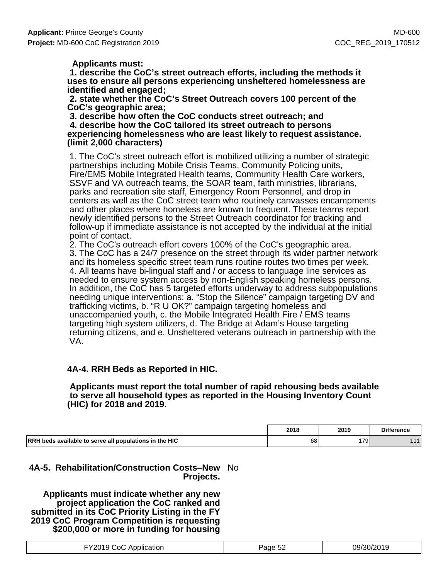#### **Applicants must:**

 **1. describe the CoC's street outreach efforts, including the methods it uses to ensure all persons experiencing unsheltered homelessness are identified and engaged;**

 **2. state whether the CoC's Street Outreach covers 100 percent of the CoC's geographic area;**

 **3. describe how often the CoC conducts street outreach; and 4. describe how the CoC tailored its street outreach to persons experiencing homelessness who are least likely to request assistance. (limit 2,000 characters)**

1. The CoC's street outreach effort is mobilized utilizing a number of strategic partnerships including Mobile Crisis Teams, Community Policing units, Fire/EMS Mobile Integrated Health teams, Community Health Care workers, SSVF and VA outreach teams, the SOAR team, faith ministries, librarians, parks and recreation site staff, Emergency Room Personnel, and drop in centers as well as the CoC street team who routinely canvasses encampments and other places where homeless are known to frequent. These teams report newly identified persons to the Street Outreach coordinator for tracking and follow-up if immediate assistance is not accepted by the individual at the initial point of contact.

2. The CoC's outreach effort covers 100% of the CoC's geographic area. 3. The CoC has a 24/7 presence on the street through its wider partner network and its homeless specific street team runs routine routes two times per week. 4. All teams have bi-lingual staff and / or access to language line services as needed to ensure system access by non-English speaking homeless persons. In addition, the CoC has 5 targeted efforts underway to address subpopulations needing unique interventions: a. "Stop the Silence" campaign targeting DV and trafficking victims, b. "R U OK?" campaign targeting homeless and unaccompanied youth, c. the Mobile Integrated Health Fire / EMS teams targeting high system utilizers, d. The Bridge at Adam's House targeting returning citizens, and e. Unsheltered veterans outreach in partnership with the VA.

### **4A-4. RRH Beds as Reported in HIC.**

#### **Applicants must report the total number of rapid rehousing beds available to serve all household types as reported in the Housing Inventory Count (HIC) for 2018 and 2019.**

|                                                               | 2018 | 2019 | <b>Difference</b> |
|---------------------------------------------------------------|------|------|-------------------|
| <b>RRH</b> beds available to serve all populations in the HIC | 68   | 179  | AA                |

### **4A-5. Rehabilitation/Construction Costs–New** No **Projects.**

 **Applicants must indicate whether any new project application the CoC ranked and submitted in its CoC Priority Listing in the FY 2019 CoC Program Competition is requesting \$200,000 or more in funding for housing**

| FY2019 CoC Application | Page 52 | 09/30/2019 |
|------------------------|---------|------------|
|------------------------|---------|------------|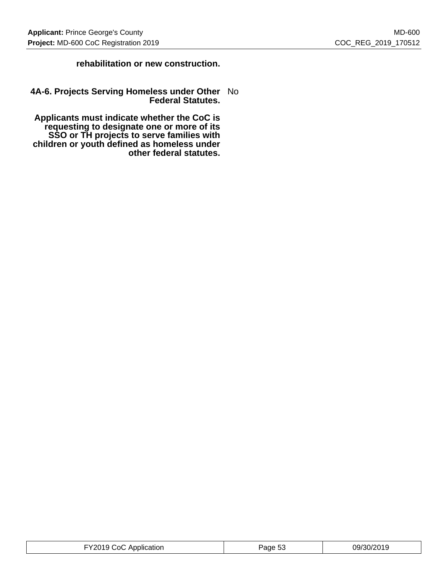### **rehabilitation or new construction.**

#### **4A-6. Projects Serving Homeless under Other** No **Federal Statutes.**

 **Applicants must indicate whether the CoC is requesting to designate one or more of its SSO or TH projects to serve families with children or youth defined as homeless under other federal statutes.**

| 09/30/2019<br>$.9010 \times$<br>∴∩∩<br>Application<br>age 53'<br>.<br>.<br>. |
|------------------------------------------------------------------------------|
|------------------------------------------------------------------------------|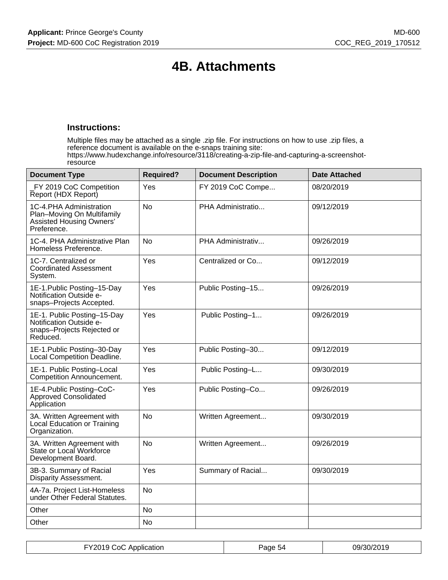# **4B. Attachments**

#### **Instructions:**

Multiple files may be attached as a single .zip file. For instructions on how to use .zip files, a reference document is available on the e-snaps training site: https://www.hudexchange.info/resource/3118/creating-a-zip-file-and-capturing-a-screenshotresource

| <b>Document Type</b>                                                                                    | <b>Required?</b> | <b>Document Description</b> | <b>Date Attached</b> |
|---------------------------------------------------------------------------------------------------------|------------------|-----------------------------|----------------------|
| FY 2019 CoC Competition<br>Report (HDX Report)                                                          | Yes              | FY 2019 CoC Compe           | 08/20/2019           |
| 1C-4.PHA Administration<br>Plan-Moving On Multifamily<br><b>Assisted Housing Owners'</b><br>Preference. | N <sub>0</sub>   | PHA Administratio           | 09/12/2019           |
| 1C-4. PHA Administrative Plan<br>Homeless Preference.                                                   | <b>No</b>        | PHA Administrativ           | 09/26/2019           |
| 1C-7. Centralized or<br><b>Coordinated Assessment</b><br>System.                                        | Yes              | Centralized or Co           | 09/12/2019           |
| 1E-1. Public Posting-15-Day<br>Notification Outside e-<br>snaps-Projects Accepted.                      | Yes              | Public Posting-15           | 09/26/2019           |
| 1E-1. Public Posting-15-Day<br>Notification Outside e-<br>snaps-Projects Rejected or<br>Reduced.        | Yes              | Public Posting-1            | 09/26/2019           |
| 1E-1. Public Posting-30-Day<br>Local Competition Deadline.                                              | Yes              | Public Posting-30           | 09/12/2019           |
| 1E-1. Public Posting-Local<br>Competition Announcement.                                                 | Yes              | Public Posting-L            | 09/30/2019           |
| 1E-4. Public Posting-CoC-<br>Approved Consolidated<br>Application                                       | Yes              | Public Posting-Co           | 09/26/2019           |
| 3A. Written Agreement with<br>Local Education or Training<br>Organization.                              | No               | Written Agreement           | 09/30/2019           |
| 3A. Written Agreement with<br>State or Local Workforce<br>Development Board.                            | <b>No</b>        | Written Agreement           | 09/26/2019           |
| 3B-3. Summary of Racial<br>Disparity Assessment.                                                        | Yes              | Summary of Racial           | 09/30/2019           |
| 4A-7a. Project List-Homeless<br>under Other Federal Statutes.                                           | <b>No</b>        |                             |                      |
| Other                                                                                                   | No               |                             |                      |
| Other                                                                                                   | <b>No</b>        |                             |                      |

| FY2019 CoC Application | Page 54 | 09/30/2019 |
|------------------------|---------|------------|
|------------------------|---------|------------|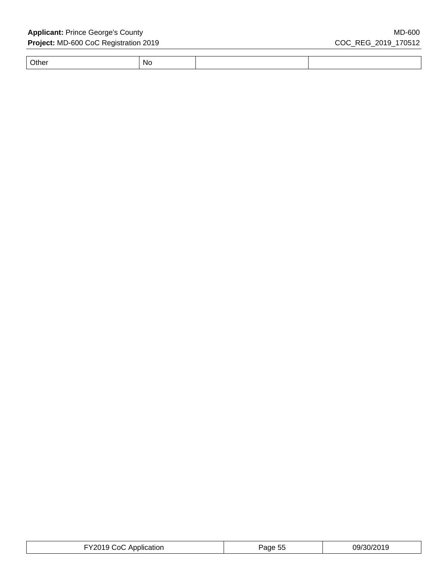Other No

| FY2019 CoC Application | Page 55 | 09/30/2019 |
|------------------------|---------|------------|
|------------------------|---------|------------|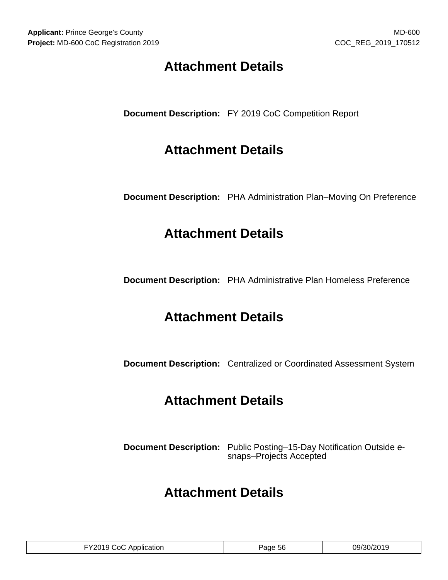# **Attachment Details**

**Document Description:** FY 2019 CoC Competition Report

# **Attachment Details**

**Document Description:** PHA Administration Plan–Moving On Preference

# **Attachment Details**

**Document Description:** PHA Administrative Plan Homeless Preference

# **Attachment Details**

**Document Description:** Centralized or Coordinated Assessment System

# **Attachment Details**

**Document Description:** Public Posting–15-Day Notification Outside esnaps–Projects Accepted

# **Attachment Details**

| 09/30/2019<br>$ \sim$<br><b>FY2019 CoC</b><br>Application<br>Page 56 |
|----------------------------------------------------------------------|
|----------------------------------------------------------------------|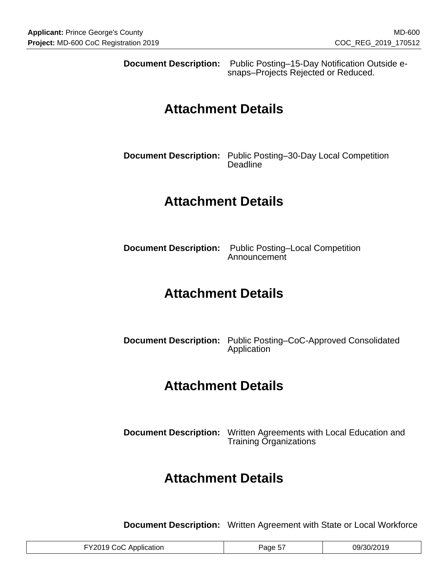**Document Description:** Public Posting–15-Day Notification Outside esnaps–Projects Rejected or Reduced.

# **Attachment Details**

**Document Description:** Public Posting–30-Day Local Competition **Deadline** 

# **Attachment Details**

**Document Description:** Public Posting–Local Competition Announcement

# **Attachment Details**

**Document Description:** Public Posting–CoC-Approved Consolidated Application

# **Attachment Details**

**Document Description:** Written Agreements with Local Education and Training Organizations

# **Attachment Details**

**Document Description:** Written Agreement with State or Local Workforce

| <b>Contract Contract</b><br>$-$<br>ng,<br>പ<br>זור<br>:ation<br>. 10 M<br>.<br>. <del>. .</del><br>. <del>.</del><br>. |  |
|------------------------------------------------------------------------------------------------------------------------|--|
|------------------------------------------------------------------------------------------------------------------------|--|